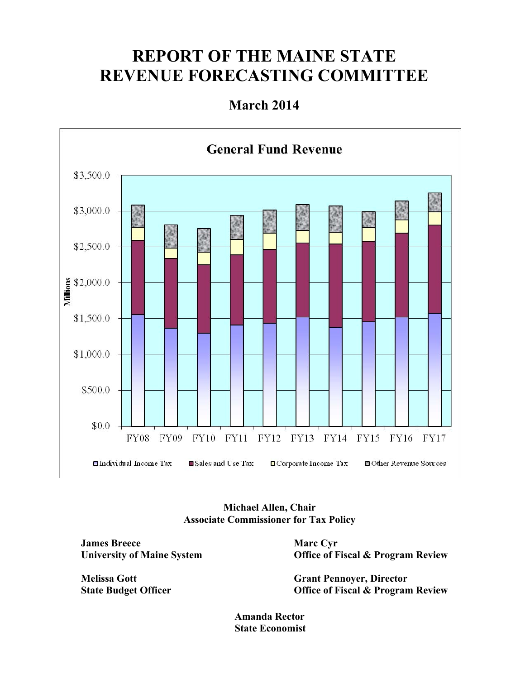## **REPORT OF THE MAINE STATE REVENUE FORECASTING COMMITTEE**

## **March 2014**



#### **Michael Allen, Chair Associate Commissioner for Tax Policy**

**James Breece University of Maine System** 

**Melissa Gott State Budget Officer**  **Marc Cyr Office of Fiscal & Program Review** 

**Grant Pennoyer, Director Office of Fiscal & Program Review** 

**Amanda Rector State Economist**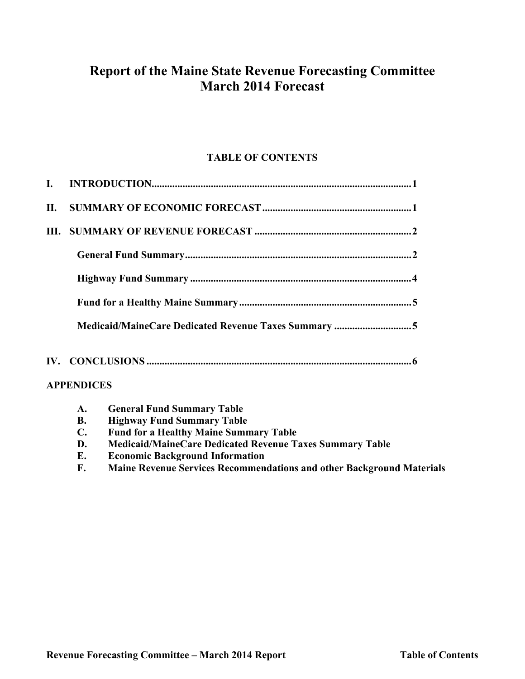## **Report of the Maine State Revenue Forecasting Committee March 2014 Forecast**

### **TABLE OF CONTENTS**

| L |                   |                                                      |
|---|-------------------|------------------------------------------------------|
|   |                   |                                                      |
|   |                   |                                                      |
|   |                   |                                                      |
|   |                   |                                                      |
|   |                   |                                                      |
|   |                   | Medicaid/MaineCare Dedicated Revenue Taxes Summary 5 |
|   |                   |                                                      |
|   | <b>APPENDICES</b> |                                                      |
|   | $\mathbf{A}$ .    | <b>General Fund Summary Table</b>                    |

- **B. Highway Fund Summary Table**
- **C. Fund for a Healthy Maine Summary Table**
- **D. Medicaid/MaineCare Dedicated Revenue Taxes Summary Table**
- **E. Economic Background Information**
- **F. Maine Revenue Services Recommendations and other Background Materials**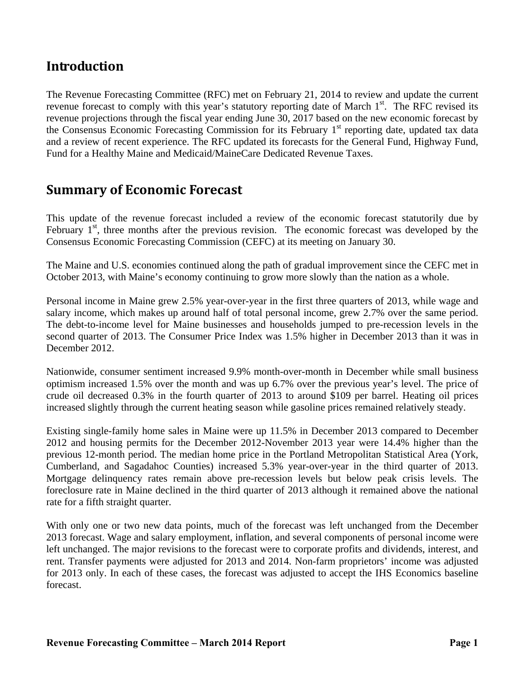## **Introduction**

The Revenue Forecasting Committee (RFC) met on February 21, 2014 to review and update the current revenue forecast to comply with this year's statutory reporting date of March 1<sup>st</sup>. The RFC revised its revenue projections through the fiscal year ending June 30, 2017 based on the new economic forecast by the Consensus Economic Forecasting Commission for its February  $1<sup>st</sup>$  reporting date, updated tax data and a review of recent experience. The RFC updated its forecasts for the General Fund, Highway Fund, Fund for a Healthy Maine and Medicaid/MaineCare Dedicated Revenue Taxes.

## **Summary of Economic Forecast**

This update of the revenue forecast included a review of the economic forecast statutorily due by February  $1<sup>st</sup>$ , three months after the previous revision. The economic forecast was developed by the Consensus Economic Forecasting Commission (CEFC) at its meeting on January 30.

The Maine and U.S. economies continued along the path of gradual improvement since the CEFC met in October 2013, with Maine's economy continuing to grow more slowly than the nation as a whole.

Personal income in Maine grew 2.5% year-over-year in the first three quarters of 2013, while wage and salary income, which makes up around half of total personal income, grew 2.7% over the same period. The debt-to-income level for Maine businesses and households jumped to pre-recession levels in the second quarter of 2013. The Consumer Price Index was 1.5% higher in December 2013 than it was in December 2012.

Nationwide, consumer sentiment increased 9.9% month-over-month in December while small business optimism increased 1.5% over the month and was up 6.7% over the previous year's level. The price of crude oil decreased 0.3% in the fourth quarter of 2013 to around \$109 per barrel. Heating oil prices increased slightly through the current heating season while gasoline prices remained relatively steady.

Existing single-family home sales in Maine were up 11.5% in December 2013 compared to December 2012 and housing permits for the December 2012-November 2013 year were 14.4% higher than the previous 12-month period. The median home price in the Portland Metropolitan Statistical Area (York, Cumberland, and Sagadahoc Counties) increased 5.3% year-over-year in the third quarter of 2013. Mortgage delinquency rates remain above pre-recession levels but below peak crisis levels. The foreclosure rate in Maine declined in the third quarter of 2013 although it remained above the national rate for a fifth straight quarter.

With only one or two new data points, much of the forecast was left unchanged from the December 2013 forecast. Wage and salary employment, inflation, and several components of personal income were left unchanged. The major revisions to the forecast were to corporate profits and dividends, interest, and rent. Transfer payments were adjusted for 2013 and 2014. Non-farm proprietors' income was adjusted for 2013 only. In each of these cases, the forecast was adjusted to accept the IHS Economics baseline forecast.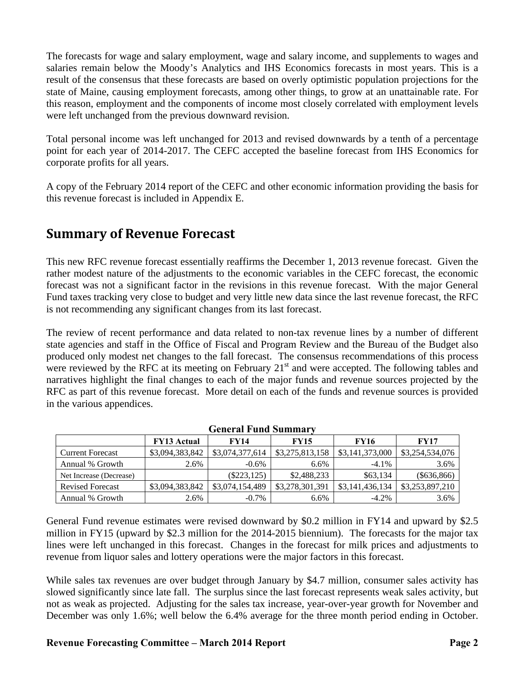The forecasts for wage and salary employment, wage and salary income, and supplements to wages and salaries remain below the Moody's Analytics and IHS Economics forecasts in most years. This is a result of the consensus that these forecasts are based on overly optimistic population projections for the state of Maine, causing employment forecasts, among other things, to grow at an unattainable rate. For this reason, employment and the components of income most closely correlated with employment levels were left unchanged from the previous downward revision.

Total personal income was left unchanged for 2013 and revised downwards by a tenth of a percentage point for each year of 2014-2017. The CEFC accepted the baseline forecast from IHS Economics for corporate profits for all years.

A copy of the February 2014 report of the CEFC and other economic information providing the basis for this revenue forecast is included in Appendix E.

## **Summary of Revenue Forecast**

This new RFC revenue forecast essentially reaffirms the December 1, 2013 revenue forecast. Given the rather modest nature of the adjustments to the economic variables in the CEFC forecast, the economic forecast was not a significant factor in the revisions in this revenue forecast. With the major General Fund taxes tracking very close to budget and very little new data since the last revenue forecast, the RFC is not recommending any significant changes from its last forecast.

The review of recent performance and data related to non-tax revenue lines by a number of different state agencies and staff in the Office of Fiscal and Program Review and the Bureau of the Budget also produced only modest net changes to the fall forecast. The consensus recommendations of this process were reviewed by the RFC at its meeting on February  $21<sup>st</sup>$  and were accepted. The following tables and narratives highlight the final changes to each of the major funds and revenue sources projected by the RFC as part of this revenue forecast. More detail on each of the funds and revenue sources is provided in the various appendices.

|                         |                    | мини тана манин |                 |                 |                 |
|-------------------------|--------------------|-----------------|-----------------|-----------------|-----------------|
|                         | <b>FY13 Actual</b> | <b>FY14</b>     | <b>FY15</b>     | FY16            | <b>FY17</b>     |
| <b>Current Forecast</b> | \$3,094,383,842    | \$3,074,377,614 | \$3,275,813,158 | \$3,141,373,000 | \$3,254,534,076 |
| Annual % Growth         | 2.6%               | $-0.6\%$        | 6.6%            | $-4.1\%$        | 3.6%            |
| Net Increase (Decrease) |                    | $(\$223, 125)$  | \$2,488,233     | \$63,134        | $(\$636,866)$   |
| <b>Revised Forecast</b> | \$3,094,383,842    | \$3,074,154,489 | \$3,278,301,391 | \$3,141,436,134 | \$3,253,897,210 |
| Annual % Growth         | 2.6%               | $-0.7\%$        | 6.6%            | $-4.2\%$        | 3.6%            |

**General Fund Summary** 

General Fund revenue estimates were revised downward by \$0.2 million in FY14 and upward by \$2.5 million in FY15 (upward by \$2.3 million for the 2014-2015 biennium). The forecasts for the major tax lines were left unchanged in this forecast. Changes in the forecast for milk prices and adjustments to revenue from liquor sales and lottery operations were the major factors in this forecast.

While sales tax revenues are over budget through January by \$4.7 million, consumer sales activity has slowed significantly since late fall. The surplus since the last forecast represents weak sales activity, but not as weak as projected. Adjusting for the sales tax increase, year-over-year growth for November and December was only 1.6%; well below the 6.4% average for the three month period ending in October.

#### **Revenue Forecasting Committee – March 2014 Report Page 2 2 and Page 2 and Page 2**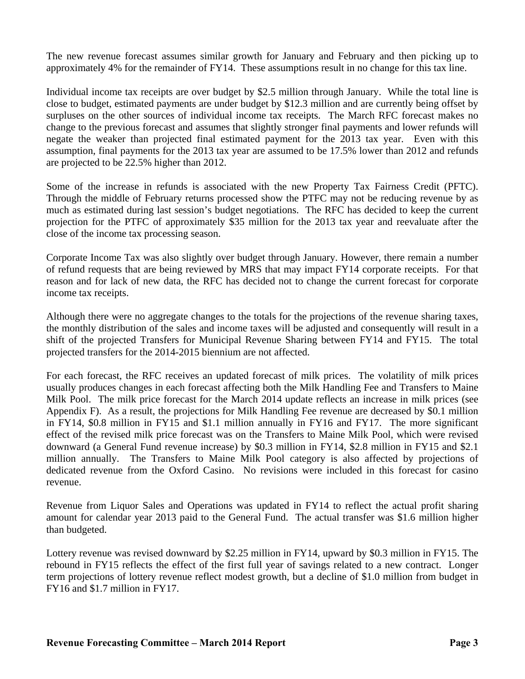The new revenue forecast assumes similar growth for January and February and then picking up to approximately 4% for the remainder of FY14. These assumptions result in no change for this tax line.

Individual income tax receipts are over budget by \$2.5 million through January. While the total line is close to budget, estimated payments are under budget by \$12.3 million and are currently being offset by surpluses on the other sources of individual income tax receipts. The March RFC forecast makes no change to the previous forecast and assumes that slightly stronger final payments and lower refunds will negate the weaker than projected final estimated payment for the 2013 tax year. Even with this assumption, final payments for the 2013 tax year are assumed to be 17.5% lower than 2012 and refunds are projected to be 22.5% higher than 2012.

Some of the increase in refunds is associated with the new Property Tax Fairness Credit (PFTC). Through the middle of February returns processed show the PTFC may not be reducing revenue by as much as estimated during last session's budget negotiations. The RFC has decided to keep the current projection for the PTFC of approximately \$35 million for the 2013 tax year and reevaluate after the close of the income tax processing season.

Corporate Income Tax was also slightly over budget through January. However, there remain a number of refund requests that are being reviewed by MRS that may impact FY14 corporate receipts. For that reason and for lack of new data, the RFC has decided not to change the current forecast for corporate income tax receipts.

Although there were no aggregate changes to the totals for the projections of the revenue sharing taxes, the monthly distribution of the sales and income taxes will be adjusted and consequently will result in a shift of the projected Transfers for Municipal Revenue Sharing between FY14 and FY15. The total projected transfers for the 2014-2015 biennium are not affected.

For each forecast, the RFC receives an updated forecast of milk prices. The volatility of milk prices usually produces changes in each forecast affecting both the Milk Handling Fee and Transfers to Maine Milk Pool. The milk price forecast for the March 2014 update reflects an increase in milk prices (see Appendix F). As a result, the projections for Milk Handling Fee revenue are decreased by \$0.1 million in FY14, \$0.8 million in FY15 and \$1.1 million annually in FY16 and FY17. The more significant effect of the revised milk price forecast was on the Transfers to Maine Milk Pool, which were revised downward (a General Fund revenue increase) by \$0.3 million in FY14, \$2.8 million in FY15 and \$2.1 million annually. The Transfers to Maine Milk Pool category is also affected by projections of dedicated revenue from the Oxford Casino. No revisions were included in this forecast for casino revenue.

Revenue from Liquor Sales and Operations was updated in FY14 to reflect the actual profit sharing amount for calendar year 2013 paid to the General Fund. The actual transfer was \$1.6 million higher than budgeted.

Lottery revenue was revised downward by \$2.25 million in FY14, upward by \$0.3 million in FY15. The rebound in FY15 reflects the effect of the first full year of savings related to a new contract. Longer term projections of lottery revenue reflect modest growth, but a decline of \$1.0 million from budget in FY16 and \$1.7 million in FY17.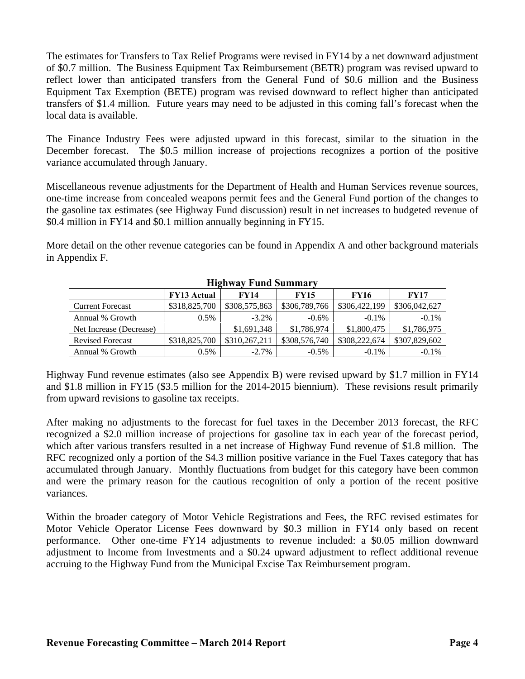The estimates for Transfers to Tax Relief Programs were revised in FY14 by a net downward adjustment of \$0.7 million. The Business Equipment Tax Reimbursement (BETR) program was revised upward to reflect lower than anticipated transfers from the General Fund of \$0.6 million and the Business Equipment Tax Exemption (BETE) program was revised downward to reflect higher than anticipated transfers of \$1.4 million. Future years may need to be adjusted in this coming fall's forecast when the local data is available.

The Finance Industry Fees were adjusted upward in this forecast, similar to the situation in the December forecast. The \$0.5 million increase of projections recognizes a portion of the positive variance accumulated through January.

Miscellaneous revenue adjustments for the Department of Health and Human Services revenue sources, one-time increase from concealed weapons permit fees and the General Fund portion of the changes to the gasoline tax estimates (see Highway Fund discussion) result in net increases to budgeted revenue of \$0.4 million in FY14 and \$0.1 million annually beginning in FY15.

More detail on the other revenue categories can be found in Appendix A and other background materials in Appendix F.

|                         | <b>FY13 Actual</b> | <b>FY14</b>   | <b>FY15</b>   | FY16          | <b>FY17</b>   |
|-------------------------|--------------------|---------------|---------------|---------------|---------------|
| <b>Current Forecast</b> | \$318,825,700      | \$308,575,863 | \$306,789,766 | \$306,422,199 | \$306,042,627 |
| Annual % Growth         | $0.5\%$            | $-3.2\%$      | $-0.6\%$      | $-0.1\%$      | $-0.1\%$      |
| Net Increase (Decrease) |                    | \$1,691,348   | \$1,786,974   | \$1,800,475   | \$1,786,975   |
| <b>Revised Forecast</b> | \$318,825,700      | \$310,267,211 | \$308,576,740 | \$308,222,674 | \$307,829,602 |
| Annual % Growth         | $0.5\%$            | $-2.7\%$      | $-0.5\%$      | $-0.1\%$      | $-0.1\%$      |

#### **Highway Fund Summary**

Highway Fund revenue estimates (also see Appendix B) were revised upward by \$1.7 million in FY14 and \$1.8 million in FY15 (\$3.5 million for the 2014-2015 biennium). These revisions result primarily from upward revisions to gasoline tax receipts.

After making no adjustments to the forecast for fuel taxes in the December 2013 forecast, the RFC recognized a \$2.0 million increase of projections for gasoline tax in each year of the forecast period, which after various transfers resulted in a net increase of Highway Fund revenue of \$1.8 million. The RFC recognized only a portion of the \$4.3 million positive variance in the Fuel Taxes category that has accumulated through January. Monthly fluctuations from budget for this category have been common and were the primary reason for the cautious recognition of only a portion of the recent positive variances.

Within the broader category of Motor Vehicle Registrations and Fees, the RFC revised estimates for Motor Vehicle Operator License Fees downward by \$0.3 million in FY14 only based on recent performance. Other one-time FY14 adjustments to revenue included: a \$0.05 million downward adjustment to Income from Investments and a \$0.24 upward adjustment to reflect additional revenue accruing to the Highway Fund from the Municipal Excise Tax Reimbursement program.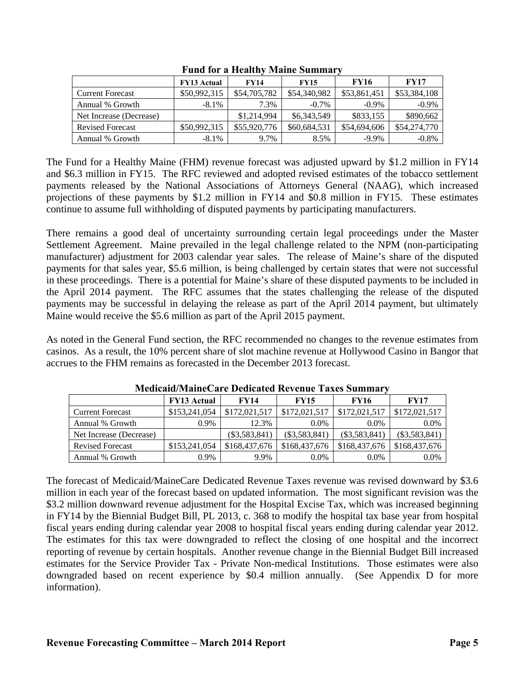|                         | <b>FY13 Actual</b> | <b>FY14</b>  | <b>FY15</b>  | <b>FY16</b>  | <b>FY17</b>  |
|-------------------------|--------------------|--------------|--------------|--------------|--------------|
| <b>Current Forecast</b> | \$50,992,315       | \$54,705,782 | \$54,340,982 | \$53,861,451 | \$53,384,108 |
| Annual % Growth         | $-8.1\%$           | 7.3%         | $-0.7\%$     | $-0.9\%$     | $-0.9\%$     |
| Net Increase (Decrease) |                    | \$1,214,994  | \$6,343,549  | \$833,155    | \$890,662    |
| <b>Revised Forecast</b> | \$50,992,315       | \$55,920,776 | \$60,684,531 | \$54,694,606 | \$54,274,770 |
| Annual % Growth         | $-8.1\%$           | 9.7%         | 8.5%         | $-9.9\%$     | $-0.8%$      |

**Fund for a Healthy Maine Summary** 

The Fund for a Healthy Maine (FHM) revenue forecast was adjusted upward by \$1.2 million in FY14 and \$6.3 million in FY15. The RFC reviewed and adopted revised estimates of the tobacco settlement payments released by the National Associations of Attorneys General (NAAG), which increased projections of these payments by \$1.2 million in FY14 and \$0.8 million in FY15. These estimates continue to assume full withholding of disputed payments by participating manufacturers.

There remains a good deal of uncertainty surrounding certain legal proceedings under the Master Settlement Agreement. Maine prevailed in the legal challenge related to the NPM (non-participating manufacturer) adjustment for 2003 calendar year sales. The release of Maine's share of the disputed payments for that sales year, \$5.6 million, is being challenged by certain states that were not successful in these proceedings. There is a potential for Maine's share of these disputed payments to be included in the April 2014 payment. The RFC assumes that the states challenging the release of the disputed payments may be successful in delaying the release as part of the April 2014 payment, but ultimately Maine would receive the \$5.6 million as part of the April 2015 payment.

As noted in the General Fund section, the RFC recommended no changes to the revenue estimates from casinos. As a result, the 10% percent share of slot machine revenue at Hollywood Casino in Bangor that accrues to the FHM remains as forecasted in the December 2013 forecast.

|                         | <b>FY13 Actual</b> | <b>FY14</b>   | <b>FY15</b>     | <b>FY16</b>     | <b>FY17</b>     |
|-------------------------|--------------------|---------------|-----------------|-----------------|-----------------|
| <b>Current Forecast</b> | \$153,241,054      | \$172,021,517 | \$172,021,517   | \$172,021,517   | \$172,021,517   |
| Annual % Growth         | 0.9%               | 12.3%         | $0.0\%$         | $0.0\%$         | 0.0%            |
| Net Increase (Decrease) |                    | (S3,583,841)  | $(\$3,583,841)$ | $(\$3,583,841)$ | $(\$3,583,841)$ |
| <b>Revised Forecast</b> | \$153,241,054      | \$168,437,676 | \$168,437,676   | \$168,437,676   | \$168,437,676   |
| Annual % Growth         | 0.9%               | 9.9%          | $0.0\%$         | $0.0\%$         | $0.0\%$         |

**Medicaid/MaineCare Dedicated Revenue Taxes Summary** 

The forecast of Medicaid/MaineCare Dedicated Revenue Taxes revenue was revised downward by \$3.6 million in each year of the forecast based on updated information. The most significant revision was the \$3.2 million downward revenue adjustment for the Hospital Excise Tax, which was increased beginning in FY14 by the Biennial Budget Bill, PL 2013, c. 368 to modify the hospital tax base year from hospital fiscal years ending during calendar year 2008 to hospital fiscal years ending during calendar year 2012. The estimates for this tax were downgraded to reflect the closing of one hospital and the incorrect reporting of revenue by certain hospitals. Another revenue change in the Biennial Budget Bill increased estimates for the Service Provider Tax - Private Non-medical Institutions. Those estimates were also downgraded based on recent experience by \$0.4 million annually. (See Appendix D for more information).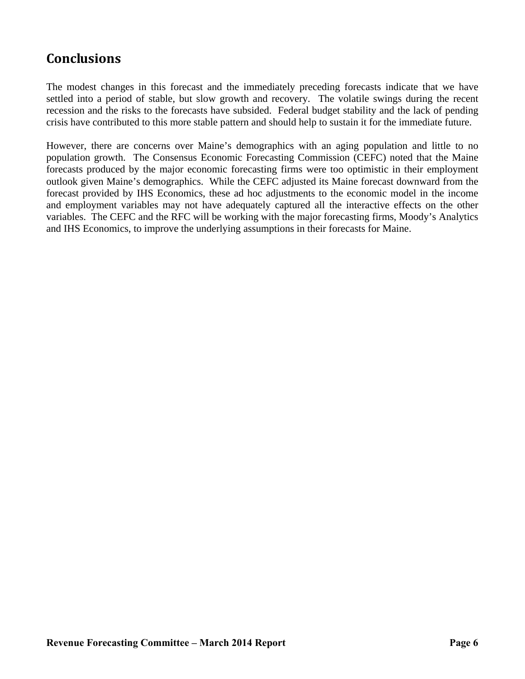## **Conclusions**

The modest changes in this forecast and the immediately preceding forecasts indicate that we have settled into a period of stable, but slow growth and recovery. The volatile swings during the recent recession and the risks to the forecasts have subsided. Federal budget stability and the lack of pending crisis have contributed to this more stable pattern and should help to sustain it for the immediate future.

However, there are concerns over Maine's demographics with an aging population and little to no population growth. The Consensus Economic Forecasting Commission (CEFC) noted that the Maine forecasts produced by the major economic forecasting firms were too optimistic in their employment outlook given Maine's demographics. While the CEFC adjusted its Maine forecast downward from the forecast provided by IHS Economics, these ad hoc adjustments to the economic model in the income and employment variables may not have adequately captured all the interactive effects on the other variables. The CEFC and the RFC will be working with the major forecasting firms, Moody's Analytics and IHS Economics, to improve the underlying assumptions in their forecasts for Maine.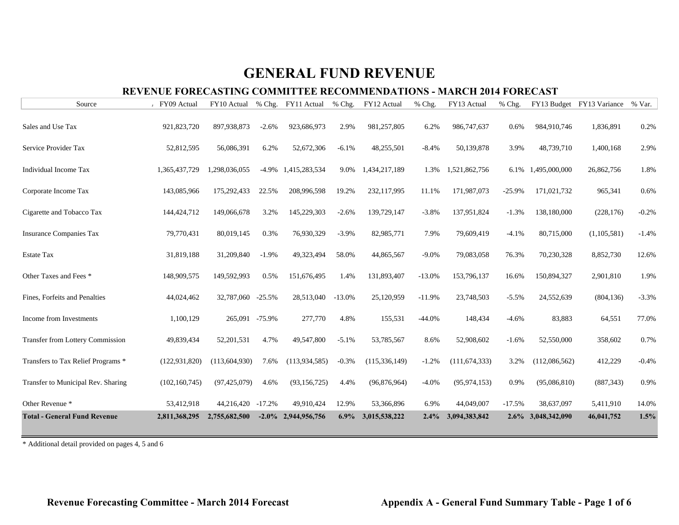### **REVENUE FORECASTING COMMITTEE RECOMMENDATIONS - MARCH 2014 FORECAST**

| Source                                  | FY09 Actual     | FY10 Actual       |          | % Chg. FY11 Actual | $%$ Chg. | FY12 Actual     | % Chg.   | FY13 Actual     | % Chg.   |                    | FY13 Budget FY13 Variance | % Var.  |
|-----------------------------------------|-----------------|-------------------|----------|--------------------|----------|-----------------|----------|-----------------|----------|--------------------|---------------------------|---------|
| Sales and Use Tax                       | 921,823,720     | 897,938,873       | $-2.6%$  | 923,686,973        | 2.9%     | 981,257,805     | 6.2%     | 986,747,637     | 0.6%     | 984,910,746        | 1,836,891                 | 0.2%    |
| Service Provider Tax                    | 52,812,595      | 56,086,391        | 6.2%     | 52,672,306         | $-6.1%$  | 48,255,501      | $-8.4%$  | 50,139,878      | 3.9%     | 48,739,710         | 1,400,168                 | 2.9%    |
| Individual Income Tax                   | 1,365,437,729   | 1,298,036,055     | $-4.9\%$ | 1,415,283,534      | 9.0%     | 1,434,217,189   | 1.3%     | 1,521,862,756   | 6.1%     | 1,495,000,000      | 26,862,756                | 1.8%    |
| Corporate Income Tax                    | 143,085,966     | 175,292,433       | 22.5%    | 208,996,598        | 19.2%    | 232,117,995     | 11.1%    | 171,987,073     | $-25.9%$ | 171,021,732        | 965,341                   | 0.6%    |
| Cigarette and Tobacco Tax               | 144,424,712     | 149,066,678       | 3.2%     | 145,229,303        | $-2.6%$  | 139,729,147     | $-3.8%$  | 137,951,824     | $-1.3%$  | 138,180,000        | (228, 176)                | $-0.2%$ |
| <b>Insurance Companies Tax</b>          | 79,770,431      | 80,019,145        | 0.3%     | 76,930,329         | $-3.9%$  | 82,985,771      | 7.9%     | 79,609,419      | $-4.1%$  | 80,715,000         | (1,105,581)               | $-1.4%$ |
| <b>Estate Tax</b>                       | 31,819,188      | 31,209,840        | $-1.9%$  | 49,323,494         | 58.0%    | 44,865,567      | $-9.0%$  | 79,083,058      | 76.3%    | 70,230,328         | 8,852,730                 | 12.6%   |
| Other Taxes and Fees *                  | 148,909,575     | 149,592,993       | 0.5%     | 151,676,495        | 1.4%     | 131,893,407     | $-13.0%$ | 153,796,137     | 16.6%    | 150,894,327        | 2,901,810                 | 1.9%    |
| Fines, Forfeits and Penalties           | 44,024,462      | 32,787,060        | $-25.5%$ | 28,513,040         | $-13.0%$ | 25,120,959      | $-11.9%$ | 23,748,503      | $-5.5%$  | 24,552,639         | (804, 136)                | $-3.3%$ |
| Income from Investments                 | 1,100,129       | 265,091 -75.9%    |          | 277,770            | 4.8%     | 155,531         | $-44.0%$ | 148,434         | $-4.6%$  | 83,883             | 64,551                    | 77.0%   |
| <b>Transfer from Lottery Commission</b> | 49,839,434      | 52,201,531        | 4.7%     | 49,547,800         | $-5.1%$  | 53,785,567      | 8.6%     | 52,908,602      | $-1.6%$  | 52,550,000         | 358,602                   | 0.7%    |
| Transfers to Tax Relief Programs *      | (122, 931, 820) | (113, 604, 930)   | 7.6%     | (113, 934, 585)    | $-0.3%$  | (115, 336, 149) | $-1.2%$  | (111, 674, 333) | 3.2%     | (112,086,562)      | 412,229                   | $-0.4%$ |
| Transfer to Municipal Rev. Sharing      | (102, 160, 745) | (97, 425, 079)    | 4.6%     | (93, 156, 725)     | 4.4%     | (96,876,964)    | $-4.0%$  | (95, 974, 153)  | 0.9%     | (95,086,810)       | (887, 343)                | 0.9%    |
| Other Revenue *                         | 53,412,918      | 44,216,420 -17.2% |          | 49,910,424         | 12.9%    | 53,366,896      | 6.9%     | 44,049,007      | $-17.5%$ | 38,637,097         | 5,411,910                 | 14.0%   |
| <b>Total - General Fund Revenue</b>     | 2,811,368,295   | 2,755,682,500     | $-2.0\%$ | 2,944,956,756      | $6.9\%$  | 3,015,538,222   | 2.4%     | 3,094,383,842   |          | 2.6% 3,048,342,090 | 46,041,752                | 1.5%    |

\* Additional detail provided on pages 4, 5 and 6

Revenue Forecasting Committee - March 2014 Forecast **All Appendix A** - General Fund Summary Table - Page 1 of 6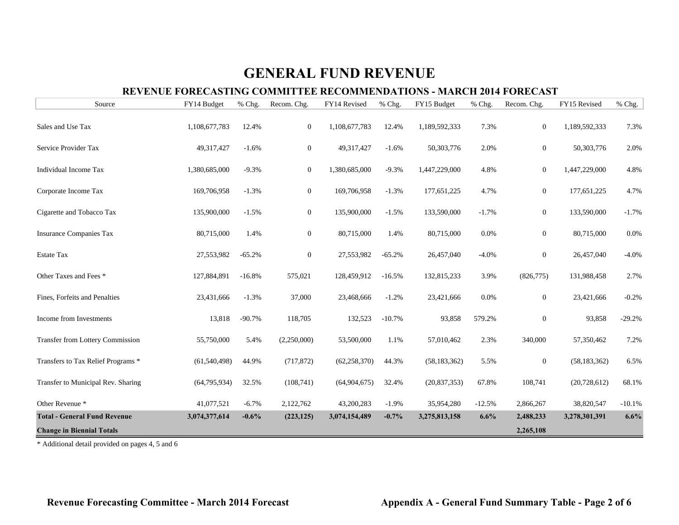### **REVENUE FORECASTING COMMITTEE RECOMMENDATIONS - MARCH 2014 FORECAST**

| Source                                  | FY14 Budget    | % Chg.   | Recom. Chg.    | FY14 Revised   | % Chg.   | FY15 Budget    | % Chg.   | Recom. Chg.      | FY15 Revised   | % Chg.   |
|-----------------------------------------|----------------|----------|----------------|----------------|----------|----------------|----------|------------------|----------------|----------|
| Sales and Use Tax                       | 1,108,677,783  | 12.4%    | $\mathbf{0}$   | 1,108,677,783  | 12.4%    | 1,189,592,333  | 7.3%     | $\mathbf{0}$     | 1,189,592,333  | 7.3%     |
| Service Provider Tax                    | 49, 317, 427   | $-1.6%$  | $\overline{0}$ | 49,317,427     | $-1.6%$  | 50,303,776     | 2.0%     | $\mathbf{0}$     | 50,303,776     | 2.0%     |
| Individual Income Tax                   | 1,380,685,000  | $-9.3%$  | $\mathbf{0}$   | 1,380,685,000  | $-9.3%$  | 1,447,229,000  | 4.8%     | $\boldsymbol{0}$ | 1,447,229,000  | 4.8%     |
| Corporate Income Tax                    | 169,706,958    | $-1.3%$  | $\mathbf{0}$   | 169,706,958    | $-1.3%$  | 177,651,225    | 4.7%     | $\boldsymbol{0}$ | 177,651,225    | 4.7%     |
| Cigarette and Tobacco Tax               | 135,900,000    | $-1.5%$  | $\mathbf{0}$   | 135,900,000    | $-1.5%$  | 133,590,000    | $-1.7%$  | $\boldsymbol{0}$ | 133,590,000    | $-1.7%$  |
| <b>Insurance Companies Tax</b>          | 80,715,000     | 1.4%     | $\mathbf{0}$   | 80,715,000     | 1.4%     | 80,715,000     | 0.0%     | $\boldsymbol{0}$ | 80,715,000     | 0.0%     |
| Estate Tax                              | 27,553,982     | $-65.2%$ | $\mathbf{0}$   | 27,553,982     | $-65.2%$ | 26,457,040     | $-4.0%$  | $\overline{0}$   | 26,457,040     | $-4.0%$  |
| Other Taxes and Fees *                  | 127,884,891    | $-16.8%$ | 575,021        | 128,459,912    | $-16.5%$ | 132,815,233    | 3.9%     | (826, 775)       | 131,988,458    | 2.7%     |
| Fines, Forfeits and Penalties           | 23,431,666     | $-1.3%$  | 37,000         | 23,468,666     | $-1.2%$  | 23,421,666     | 0.0%     | $\boldsymbol{0}$ | 23,421,666     | $-0.2%$  |
| Income from Investments                 | 13,818         | $-90.7%$ | 118,705        | 132,523        | $-10.7%$ | 93,858         | 579.2%   | $\boldsymbol{0}$ | 93,858         | $-29.2%$ |
| <b>Transfer from Lottery Commission</b> | 55,750,000     | 5.4%     | (2,250,000)    | 53,500,000     | 1.1%     | 57,010,462     | 2.3%     | 340,000          | 57,350,462     | 7.2%     |
| Transfers to Tax Relief Programs *      | (61, 540, 498) | 44.9%    | (717, 872)     | (62, 258, 370) | 44.3%    | (58, 183, 362) | 5.5%     | $\boldsymbol{0}$ | (58, 183, 362) | 6.5%     |
| Transfer to Municipal Rev. Sharing      | (64, 795, 934) | 32.5%    | (108,741)      | (64,904,675)   | 32.4%    | (20, 837, 353) | 67.8%    | 108,741          | (20, 728, 612) | 68.1%    |
| Other Revenue <sup>*</sup>              | 41,077,521     | $-6.7%$  | 2,122,762      | 43,200,283     | $-1.9%$  | 35,954,280     | $-12.5%$ | 2,866,267        | 38,820,547     | $-10.1%$ |
| <b>Total - General Fund Revenue</b>     | 3,074,377,614  | $-0.6%$  | (223, 125)     | 3,074,154,489  | $-0.7%$  | 3,275,813,158  | 6.6%     | 2,488,233        | 3,278,301,391  | 6.6%     |
| <b>Change in Biennial Totals</b>        |                |          |                |                |          |                |          | 2,265,108        |                |          |

\* Additional detail provided on pages 4, 5 and 6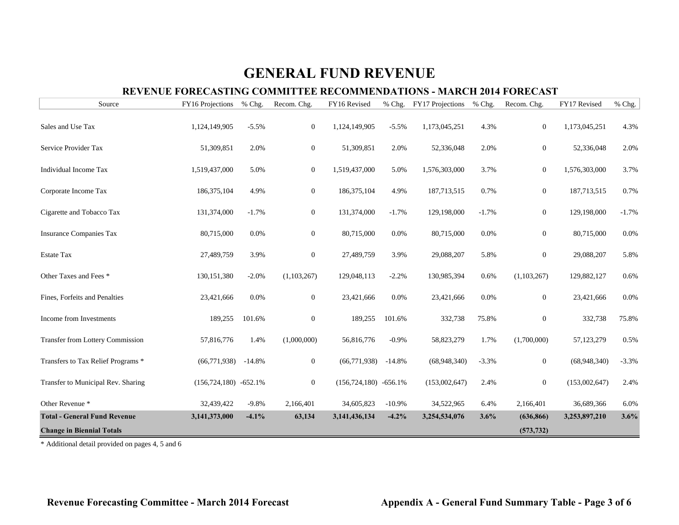### **REVENUE FORECASTING COMMITTEE RECOMMENDATIONS - MARCH 2014 FORECAST**

| Source                              | FY16 Projections           | % Chg.   | Recom. Chg.      | FY16 Revised             | % Chg.   | FY17 Projections | % Chg.   | Recom. Chg.    | FY17 Revised  | % Chg.  |
|-------------------------------------|----------------------------|----------|------------------|--------------------------|----------|------------------|----------|----------------|---------------|---------|
| Sales and Use Tax                   | 1,124,149,905              | $-5.5%$  | $\mathbf{0}$     | 1,124,149,905            | $-5.5%$  | 1,173,045,251    | 4.3%     | $\overline{0}$ | 1,173,045,251 | 4.3%    |
| Service Provider Tax                | 51,309,851                 | 2.0%     | $\overline{0}$   | 51,309,851               | 2.0%     | 52,336,048       | 2.0%     | $\Omega$       | 52,336,048    | 2.0%    |
| Individual Income Tax               | 1,519,437,000              | 5.0%     | $\overline{0}$   | 1,519,437,000            | 5.0%     | 1,576,303,000    | 3.7%     | $\overline{0}$ | 1,576,303,000 | 3.7%    |
| Corporate Income Tax                | 186, 375, 104              | 4.9%     | $\boldsymbol{0}$ | 186, 375, 104            | 4.9%     | 187,713,515      | 0.7%     | $\overline{0}$ | 187,713,515   | 0.7%    |
| Cigarette and Tobacco Tax           | 131,374,000                | $-1.7%$  | $\mathbf{0}$     | 131,374,000              | $-1.7%$  | 129,198,000      | $-1.7\%$ | $\overline{0}$ | 129,198,000   | $-1.7%$ |
| <b>Insurance Companies Tax</b>      | 80,715,000                 | 0.0%     | $\boldsymbol{0}$ | 80,715,000               | 0.0%     | 80,715,000       | 0.0%     | $\overline{0}$ | 80,715,000    | 0.0%    |
| <b>Estate Tax</b>                   | 27,489,759                 | 3.9%     | $\boldsymbol{0}$ | 27,489,759               | 3.9%     | 29,088,207       | 5.8%     | $\overline{0}$ | 29,088,207    | 5.8%    |
| Other Taxes and Fees *              | 130, 151, 380              | $-2.0%$  | (1,103,267)      | 129,048,113              | $-2.2%$  | 130,985,394      | 0.6%     | (1,103,267)    | 129,882,127   | 0.6%    |
| Fines, Forfeits and Penalties       | 23,421,666                 | 0.0%     | $\mathbf{0}$     | 23,421,666               | 0.0%     | 23,421,666       | 0.0%     | $\overline{0}$ | 23,421,666    | 0.0%    |
| Income from Investments             | 189,255                    | 101.6%   | $\boldsymbol{0}$ | 189,255                  | 101.6%   | 332,738          | 75.8%    | $\overline{0}$ | 332,738       | 75.8%   |
| Transfer from Lottery Commission    | 57,816,776                 | 1.4%     | (1,000,000)      | 56,816,776               | $-0.9%$  | 58,823,279       | 1.7%     | (1,700,000)    | 57,123,279    | 0.5%    |
| Transfers to Tax Relief Programs *  | (66,771,938)               | $-14.8%$ | $\boldsymbol{0}$ | (66, 771, 938)           | $-14.8%$ | (68,948,340)     | $-3.3%$  | $\overline{0}$ | (68,948,340)  | $-3.3%$ |
| Transfer to Municipal Rev. Sharing  | $(156, 724, 180) -652.1\%$ |          | $\mathbf{0}$     | $(156,724,180) -656.1\%$ |          | (153,002,647)    | 2.4%     | $\overline{0}$ | (153,002,647) | 2.4%    |
| Other Revenue <sup>*</sup>          | 32,439,422                 | $-9.8%$  | 2,166,401        | 34,605,823               | $-10.9%$ | 34,522,965       | 6.4%     | 2,166,401      | 36,689,366    | 6.0%    |
| <b>Total - General Fund Revenue</b> | 3,141,373,000              | $-4.1%$  | 63,134           | 3,141,436,134            | $-4.2%$  | 3,254,534,076    | 3.6%     | (636, 866)     | 3,253,897,210 | 3.6%    |
| <b>Change in Biennial Totals</b>    |                            |          |                  |                          |          |                  |          | (573, 732)     |               |         |

\* Additional detail provided on pages 4, 5 and 6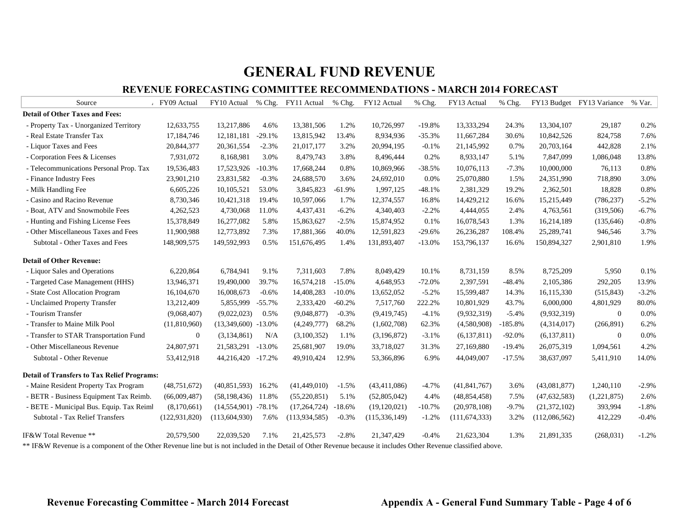#### **REVENUE FORECASTING COMMITTEE RECOMMENDATIONS - MARCH 2014 FORECAST**

| Source                                                                                                                                                          | FY09 Actual     |                       |          | FY10 Actual % Chg. FY11 Actual | % Chg.   | FY12 Actual     | % Chg.   | FY13 Actual     | % Chg.    |                | FY13 Budget FY13 Variance | % Var.  |
|-----------------------------------------------------------------------------------------------------------------------------------------------------------------|-----------------|-----------------------|----------|--------------------------------|----------|-----------------|----------|-----------------|-----------|----------------|---------------------------|---------|
| <b>Detail of Other Taxes and Fees:</b>                                                                                                                          |                 |                       |          |                                |          |                 |          |                 |           |                |                           |         |
| - Property Tax - Unorganized Territory                                                                                                                          | 12,633,755      | 13,217,886            | 4.6%     | 13,381,506                     | 1.2%     | 10,726,997      | $-19.8%$ | 13,333,294      | 24.3%     | 13,304,107     | 29,187                    | 0.2%    |
| - Real Estate Transfer Tax                                                                                                                                      | 17,184,746      | 12,181,181            | $-29.1%$ | 13,815,942                     | 13.4%    | 8,934,936       | $-35.3%$ | 11,667,284      | 30.6%     | 10,842,526     | 824,758                   | 7.6%    |
| - Liquor Taxes and Fees                                                                                                                                         | 20,844,377      | 20,361,554            | $-2.3%$  | 21,017,177                     | 3.2%     | 20,994,195      | $-0.1%$  | 21,145,992      | 0.7%      | 20,703,164     | 442,828                   | 2.1%    |
| - Corporation Fees & Licenses                                                                                                                                   | 7,931,072       | 8,168,981             | 3.0%     | 8,479,743                      | 3.8%     | 8,496,444       | 0.2%     | 8,933,147       | 5.1%      | 7,847,099      | 1,086,048                 | 13.8%   |
| - Telecommunications Personal Prop. Tax                                                                                                                         | 19,536,483      | 17,523,926            | $-10.3%$ | 17,668,244                     | 0.8%     | 10,869,966      | $-38.5%$ | 10,076,113      | $-7.3%$   | 10,000,000     | 76,113                    | 0.8%    |
| - Finance Industry Fees                                                                                                                                         | 23,901,210      | 23,831,582            | $-0.3%$  | 24,688,570                     | 3.6%     | 24,692,010      | 0.0%     | 25,070,880      | 1.5%      | 24,351,990     | 718,890                   | 3.0%    |
| - Milk Handling Fee                                                                                                                                             | 6,605,226       | 10,105,521            | 53.0%    | 3,845,823                      | $-61.9%$ | 1,997,125       | $-48.1%$ | 2,381,329       | 19.2%     | 2,362,501      | 18,828                    | 0.8%    |
| - Casino and Racino Revenue                                                                                                                                     | 8,730,346       | 10,421,318            | 19.4%    | 10,597,066                     | 1.7%     | 12,374,557      | 16.8%    | 14,429,212      | 16.6%     | 15,215,449     | (786, 237)                | $-5.2%$ |
| - Boat, ATV and Snowmobile Fees                                                                                                                                 | 4,262,523       | 4,730,068             | 11.0%    | 4,437,431                      | $-6.2%$  | 4,340,403       | $-2.2%$  | 4,444,055       | 2.4%      | 4,763,561      | (319, 506)                | $-6.7%$ |
| - Hunting and Fishing License Fees                                                                                                                              | 15,378,849      | 16,277,082            | 5.8%     | 15,863,627                     | $-2.5%$  | 15,874,952      | 0.1%     | 16,078,543      | 1.3%      | 16,214,189     | (135, 646)                | $-0.8%$ |
| - Other Miscellaneous Taxes and Fees                                                                                                                            | 11,900,988      | 12,773,892            | 7.3%     | 17,881,366                     | 40.0%    | 12,591,823      | $-29.6%$ | 26,236,287      | 108.4%    | 25,289,741     | 946,546                   | 3.7%    |
| Subtotal - Other Taxes and Fees                                                                                                                                 | 148,909,575     | 149,592,993           | 0.5%     | 151,676,495                    | 1.4%     | 131,893,407     | $-13.0%$ | 153,796,137     | 16.6%     | 150,894,327    | 2,901,810                 | 1.9%    |
| <b>Detail of Other Revenue:</b>                                                                                                                                 |                 |                       |          |                                |          |                 |          |                 |           |                |                           |         |
| - Liquor Sales and Operations                                                                                                                                   | 6,220,864       | 6,784,941             | 9.1%     | 7,311,603                      | 7.8%     | 8,049,429       | 10.1%    | 8,731,159       | 8.5%      | 8,725,209      | 5,950                     | 0.1%    |
| - Targeted Case Management (HHS)                                                                                                                                | 13,946,371      | 19,490,000            | 39.7%    | 16,574,218                     | $-15.0%$ | 4,648,953       | $-72.0%$ | 2,397,591       | $-48.4%$  | 2,105,386      | 292,205                   | 13.9%   |
| - State Cost Allocation Program                                                                                                                                 | 16,104,670      | 16,008,673            | $-0.6%$  | 14,408,283                     | $-10.0%$ | 13,652,052      | $-5.2%$  | 15,599,487      | 14.3%     | 16,115,330     | (515, 843)                | $-3.2%$ |
| - Unclaimed Property Transfer                                                                                                                                   | 13,212,409      | 5,855,999             | $-55.7%$ | 2,333,420                      | $-60.2%$ | 7,517,760       | 222.2%   | 10,801,929      | 43.7%     | 6,000,000      | 4,801,929                 | 80.0%   |
| - Tourism Transfer                                                                                                                                              | (9,068,407)     | (9,022,023)           | 0.5%     | (9,048,877)                    | $-0.3%$  | (9,419,745)     | $-4.1%$  | (9,932,319)     | $-5.4%$   | (9,932,319)    | $\mathbf{0}$              | 0.0%    |
| - Transfer to Maine Milk Pool                                                                                                                                   | (11,810,960)    | $(13,349,600)$ -13.0% |          | (4,249,777)                    | 68.2%    | (1,602,708)     | 62.3%    | (4,580,908)     | $-185.8%$ | (4,314,017)    | (266, 891)                | 6.2%    |
| - Transfer to STAR Transportation Fund                                                                                                                          | $\mathbf{0}$    | (3,134,861)           | N/A      | (3,100,352)                    | 1.1%     | (3, 196, 872)   | $-3.1%$  | (6,137,811)     | $-92.0%$  | (6,137,811)    | $\overline{0}$            | 0.0%    |
| - Other Miscellaneous Revenue                                                                                                                                   | 24,807,971      | 21,583,291            | $-13.0%$ | 25,681,907                     | 19.0%    | 33,718,027      | 31.3%    | 27,169,880      | $-19.4%$  | 26,075,319     | 1,094,561                 | 4.2%    |
| Subtotal - Other Revenue                                                                                                                                        | 53,412,918      | 44,216,420 -17.2%     |          | 49,910,424                     | 12.9%    | 53,366,896      | 6.9%     | 44,049,007      | $-17.5%$  | 38,637,097     | 5,411,910                 | 14.0%   |
| <b>Detail of Transfers to Tax Relief Programs:</b>                                                                                                              |                 |                       |          |                                |          |                 |          |                 |           |                |                           |         |
| - Maine Resident Property Tax Program                                                                                                                           | (48, 751, 672)  | (40, 851, 593)        | 16.2%    | (41, 449, 010)                 | $-1.5%$  | (43, 411, 086)  | $-4.7%$  | (41, 841, 767)  | 3.6%      | (43,081,877)   | 1,240,110                 | $-2.9%$ |
| - BETR - Business Equipment Tax Reimb.                                                                                                                          | (66,009,487)    | (58, 198, 436)        | 11.8%    | (55,220,851)                   | 5.1%     | (52,805,042)    | 4.4%     | (48, 854, 458)  | 7.5%      | (47, 632, 583) | (1,221,875)               | 2.6%    |
| - BETE - Municipal Bus. Equip. Tax Reiml                                                                                                                        | (8,170,661)     | $(14,554,901)$ -78.1% |          | (17, 264, 724)                 | $-18.6%$ | (19,120,021)    | $-10.7%$ | (20,978,108)    | $-9.7%$   | (21, 372, 102) | 393,994                   | $-1.8%$ |
| Subtotal - Tax Relief Transfers                                                                                                                                 | (122, 931, 820) | (113, 604, 930)       | 7.6%     | (113, 934, 585)                | $-0.3%$  | (115, 336, 149) | $-1.2%$  | (111, 674, 333) | 3.2%      | (112,086,562)  | 412,229                   | $-0.4%$ |
| IF&W Total Revenue **                                                                                                                                           | 20,579,500      | 22,039,520            | 7.1%     | 21,425,573                     | $-2.8%$  | 21,347,429      | $-0.4%$  | 21,623,304      | 1.3%      | 21,891,335     | (268, 031)                | $-1.2%$ |
| ** IF&W Revenue is a component of the Other Revenue line but is not included in the Detail of Other Revenue because it includes Other Revenue classified above. |                 |                       |          |                                |          |                 |          |                 |           |                |                           |         |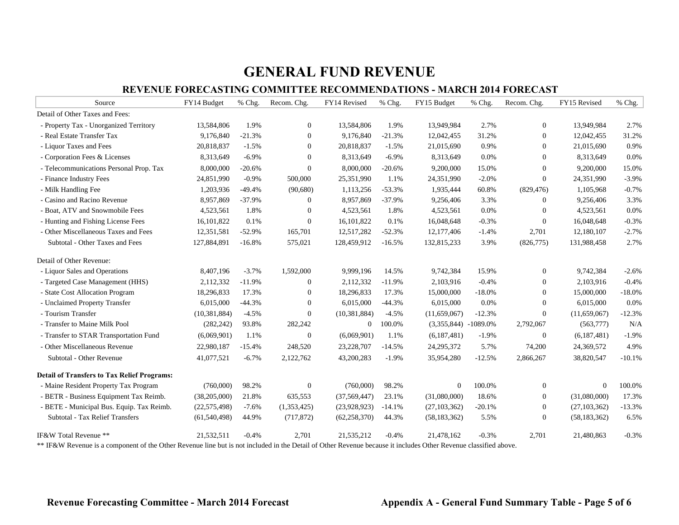#### **REVENUE FORECASTING COMMITTEE RECOMMENDATIONS - MARCH 2014 FORECAST**

| Source                                             | FY14 Budget    | % Chg.   | Recom. Chg.  | FY14 Revised   | % Chg.   | FY15 Budget            | % Chg.   | Recom. Chg.      | FY15 Revised   | % Chg.   |
|----------------------------------------------------|----------------|----------|--------------|----------------|----------|------------------------|----------|------------------|----------------|----------|
| Detail of Other Taxes and Fees:                    |                |          |              |                |          |                        |          |                  |                |          |
| - Property Tax - Unorganized Territory             | 13,584,806     | 1.9%     | $\mathbf{0}$ | 13,584,806     | 1.9%     | 13,949,984             | 2.7%     | $\overline{0}$   | 13,949,984     | 2.7%     |
| - Real Estate Transfer Tax                         | 9,176,840      | $-21.3%$ | $\mathbf{0}$ | 9,176,840      | $-21.3%$ | 12,042,455             | 31.2%    | $\mathbf{0}$     | 12,042,455     | 31.2%    |
| - Liquor Taxes and Fees                            | 20,818,837     | $-1.5%$  | $\mathbf{0}$ | 20,818,837     | $-1.5%$  | 21,015,690             | 0.9%     | $\mathbf{0}$     | 21,015,690     | 0.9%     |
| - Corporation Fees & Licenses                      | 8,313,649      | $-6.9%$  | $\Omega$     | 8,313,649      | $-6.9%$  | 8,313,649              | 0.0%     | $\overline{0}$   | 8,313,649      | 0.0%     |
| - Telecommunications Personal Prop. Tax            | 8,000,000      | $-20.6%$ | $\mathbf{0}$ | 8,000,000      | $-20.6%$ | 9,200,000              | 15.0%    | $\boldsymbol{0}$ | 9,200,000      | 15.0%    |
| - Finance Industry Fees                            | 24,851,990     | $-0.9%$  | 500,000      | 25,351,990     | 1.1%     | 24,351,990             | $-2.0%$  | $\mathbf{0}$     | 24,351,990     | $-3.9%$  |
| - Milk Handling Fee                                | 1,203,936      | $-49.4%$ | (90,680)     | 1,113,256      | $-53.3%$ | 1,935,444              | 60.8%    | (829, 476)       | 1,105,968      | $-0.7%$  |
| - Casino and Racino Revenue                        | 8,957,869      | $-37.9%$ | $\mathbf{0}$ | 8,957,869      | $-37.9%$ | 9,256,406              | 3.3%     | $\mathbf{0}$     | 9,256,406      | 3.3%     |
| - Boat, ATV and Snowmobile Fees                    | 4,523,561      | 1.8%     | $\mathbf{0}$ | 4,523,561      | 1.8%     | 4,523,561              | 0.0%     | $\mathbf{0}$     | 4,523,561      | 0.0%     |
| - Hunting and Fishing License Fees                 | 16,101,822     | 0.1%     | $\Omega$     | 16,101,822     | 0.1%     | 16,048,648             | $-0.3%$  | $\mathbf{0}$     | 16,048,648     | $-0.3%$  |
| - Other Miscellaneous Taxes and Fees               | 12,351,581     | $-52.9%$ | 165,701      | 12,517,282     | $-52.3%$ | 12,177,406             | $-1.4%$  | 2,701            | 12,180,107     | $-2.7%$  |
| Subtotal - Other Taxes and Fees                    | 127,884,891    | $-16.8%$ | 575,021      | 128,459,912    | $-16.5%$ | 132,815,233            | 3.9%     | (826,775)        | 131,988,458    | 2.7%     |
| Detail of Other Revenue:                           |                |          |              |                |          |                        |          |                  |                |          |
| - Liquor Sales and Operations                      | 8,407,196      | $-3.7%$  | 1,592,000    | 9,999,196      | 14.5%    | 9,742,384              | 15.9%    | $\mathbf{0}$     | 9,742,384      | $-2.6%$  |
| - Targeted Case Management (HHS)                   | 2,112,332      | $-11.9%$ | $\mathbf{0}$ | 2,112,332      | $-11.9%$ | 2,103,916              | $-0.4%$  | $\mathbf{0}$     | 2,103,916      | $-0.4%$  |
| - State Cost Allocation Program                    | 18,296,833     | 17.3%    | $\theta$     | 18,296,833     | 17.3%    | 15,000,000             | $-18.0%$ | $\Omega$         | 15,000,000     | $-18.0%$ |
| - Unclaimed Property Transfer                      | 6,015,000      | $-44.3%$ | $\mathbf{0}$ | 6,015,000      | $-44.3%$ | 6,015,000              | 0.0%     | $\overline{0}$   | 6,015,000      | 0.0%     |
| - Tourism Transfer                                 | (10, 381, 884) | $-4.5%$  | $\mathbf{0}$ | (10, 381, 884) | $-4.5%$  | (11,659,067)           | $-12.3%$ | $\mathbf{0}$     | (11,659,067)   | $-12.3%$ |
| - Transfer to Maine Milk Pool                      | (282, 242)     | 93.8%    | 282,242      | $\overline{0}$ | 100.0%   | $(3,355,844)$ -1089.0% |          | 2,792,067        | (563,777)      | N/A      |
| - Transfer to STAR Transportation Fund             | (6,069,901)    | 1.1%     | $\mathbf{0}$ | (6,069,901)    | 1.1%     | (6,187,481)            | $-1.9%$  | $\boldsymbol{0}$ | (6,187,481)    | $-1.9%$  |
| - Other Miscellaneous Revenue                      | 22,980,187     | $-15.4%$ | 248,520      | 23,228,707     | $-14.5%$ | 24, 295, 372           | 5.7%     | 74,200           | 24,369,572     | 4.9%     |
| Subtotal - Other Revenue                           | 41,077,521     | $-6.7\%$ | 2,122,762    | 43,200,283     | $-1.9%$  | 35,954,280             | $-12.5%$ | 2,866,267        | 38,820,547     | $-10.1%$ |
| <b>Detail of Transfers to Tax Relief Programs:</b> |                |          |              |                |          |                        |          |                  |                |          |
| - Maine Resident Property Tax Program              | (760,000)      | 98.2%    | $\theta$     | (760,000)      | 98.2%    | $\overline{0}$         | 100.0%   | $\mathbf{0}$     | $\Omega$       | 100.0%   |
| - BETR - Business Equipment Tax Reimb.             | (38,205,000)   | 21.8%    | 635,553      | (37, 569, 447) | 23.1%    | (31,080,000)           | 18.6%    | $\mathbf{0}$     | (31,080,000)   | 17.3%    |
| - BETE - Municipal Bus. Equip. Tax Reimb.          | (22, 575, 498) | $-7.6%$  | (1,353,425)  | (23,928,923)   | $-14.1%$ | (27, 103, 362)         | $-20.1%$ | $\mathbf{0}$     | (27, 103, 362) | $-13.3%$ |
| Subtotal - Tax Relief Transfers                    | (61, 540, 498) | 44.9%    | (717, 872)   | (62, 258, 370) | 44.3%    | (58, 183, 362)         | 5.5%     | $\mathbf{0}$     | (58, 183, 362) | 6.5%     |
| IF&W Total Revenue **                              | 21,532,511     | $-0.4%$  | 2,701        | 21,535,212     | $-0.4%$  | 21,478,162             | $-0.3%$  | 2,701            | 21,480,863     | $-0.3%$  |

\*\* IF&W Revenue is a component of the Other Revenue line but is not included in the Detail of Other Revenue because it includes Other Revenue classified above.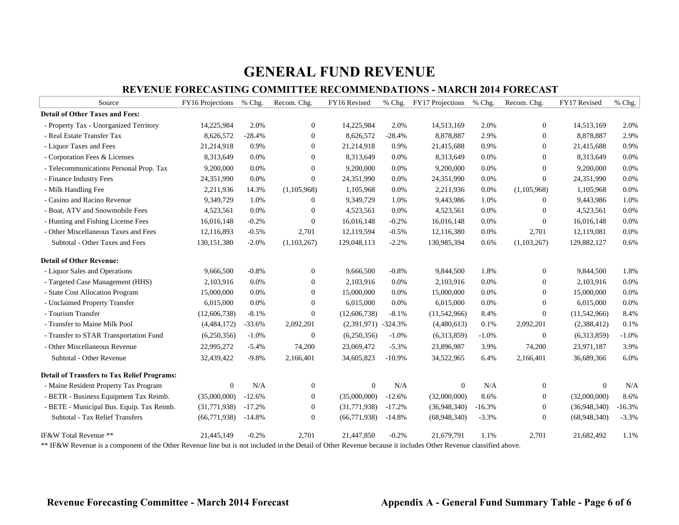#### **REVENUE FORECASTING COMMITTEE RECOMMENDATIONS - MARCH 2014 FORECAST**

| Source                                             | FY16 Projections | % Chg.   | Recom. Chg.      | FY16 Revised          | $%$ Chg. | FY17 Projections | % Chg.   | Recom. Chg.    | FY17 Revised | % Chg.   |
|----------------------------------------------------|------------------|----------|------------------|-----------------------|----------|------------------|----------|----------------|--------------|----------|
| <b>Detail of Other Taxes and Fees:</b>             |                  |          |                  |                       |          |                  |          |                |              |          |
| - Property Tax - Unorganized Territory             | 14,225,984       | 2.0%     | $\mathbf{0}$     | 14,225,984            | 2.0%     | 14,513,169       | 2.0%     | $\mathbf{0}$   | 14,513,169   | 2.0%     |
| - Real Estate Transfer Tax                         | 8,626,572        | $-28.4%$ | $\overline{0}$   | 8,626,572             | $-28.4%$ | 8,878,887        | 2.9%     | $\overline{0}$ | 8,878,887    | 2.9%     |
| - Liquor Taxes and Fees                            | 21,214,918       | 0.9%     | $\overline{0}$   | 21,214,918            | 0.9%     | 21,415,688       | 0.9%     | $\Omega$       | 21,415,688   | 0.9%     |
| - Corporation Fees & Licenses                      | 8,313,649        | 0.0%     | $\mathbf{0}$     | 8,313,649             | 0.0%     | 8,313,649        | 0.0%     | $\mathbf{0}$   | 8,313,649    | 0.0%     |
| - Telecommunications Personal Prop. Tax            | 9,200,000        | 0.0%     | $\mathbf{0}$     | 9,200,000             | 0.0%     | 9,200,000        | 0.0%     | $\overline{0}$ | 9,200,000    | 0.0%     |
| - Finance Industry Fees                            | 24,351,990       | 0.0%     | $\overline{0}$   | 24,351,990            | 0.0%     | 24,351,990       | 0.0%     | $\overline{0}$ | 24,351,990   | 0.0%     |
| - Milk Handling Fee                                | 2,211,936        | 14.3%    | (1,105,968)      | 1,105,968             | 0.0%     | 2,211,936        | 0.0%     | (1,105,968)    | 1,105,968    | 0.0%     |
| - Casino and Racino Revenue                        | 9,349,729        | 1.0%     | $\mathbf{0}$     | 9,349,729             | 1.0%     | 9,443,986        | 1.0%     | $\mathbf{0}$   | 9,443,986    | 1.0%     |
| - Boat, ATV and Snowmobile Fees                    | 4,523,561        | 0.0%     | $\boldsymbol{0}$ | 4,523,561             | 0.0%     | 4,523,561        | 0.0%     | $\mathbf{0}$   | 4,523,561    | 0.0%     |
| - Hunting and Fishing License Fees                 | 16,016,148       | $-0.2%$  | $\overline{0}$   | 16,016,148            | $-0.2%$  | 16,016,148       | 0.0%     | $\Omega$       | 16,016,148   | 0.0%     |
| - Other Miscellaneous Taxes and Fees               | 12,116,893       | $-0.5%$  | 2.701            | 12,119,594            | $-0.5%$  | 12,116,380       | 0.0%     | 2,701          | 12,119,081   | 0.0%     |
| Subtotal - Other Taxes and Fees                    | 130, 151, 380    | $-2.0%$  | (1,103,267)      | 129,048,113           | $-2.2%$  | 130,985,394      | 0.6%     | (1,103,267)    | 129,882,127  | 0.6%     |
| <b>Detail of Other Revenue:</b>                    |                  |          |                  |                       |          |                  |          |                |              |          |
| - Liquor Sales and Operations                      | 9,666,500        | $-0.8%$  | $\boldsymbol{0}$ | 9,666,500             | $-0.8%$  | 9,844,500        | 1.8%     | $\mathbf{0}$   | 9,844,500    | 1.8%     |
| - Targeted Case Management (HHS)                   | 2,103,916        | 0.0%     | $\mathbf{0}$     | 2,103,916             | 0.0%     | 2,103,916        | 0.0%     | $\mathbf{0}$   | 2,103,916    | 0.0%     |
| - State Cost Allocation Program                    | 15,000,000       | 0.0%     | $\mathbf{0}$     | 15,000,000            | 0.0%     | 15,000,000       | 0.0%     | $\Omega$       | 15,000,000   | 0.0%     |
| - Unclaimed Property Transfer                      | 6,015,000        | 0.0%     | $\mathbf{0}$     | 6,015,000             | 0.0%     | 6,015,000        | 0.0%     | $\overline{0}$ | 6,015,000    | 0.0%     |
| - Tourism Transfer                                 | (12,606,738)     | $-8.1%$  | $\mathbf{0}$     | (12,606,738)          | $-8.1%$  | (11,542,966)     | 8.4%     | $\mathbf{0}$   | (11,542,966) | 8.4%     |
| - Transfer to Maine Milk Pool                      | (4,484,172)      | $-33.6%$ | 2,092,201        | $(2,391,971)$ -324.3% |          | (4,480,613)      | 0.1%     | 2,092,201      | (2,388,412)  | 0.1%     |
| - Transfer to STAR Transportation Fund             | (6,250,356)      | $-1.0%$  | $\boldsymbol{0}$ | (6,250,356)           | $-1.0%$  | (6,313,859)      | $-1.0%$  | $\mathbf{0}$   | (6,313,859)  | $-1.0%$  |
| - Other Miscellaneous Revenue                      | 22,995,272       | $-5.4%$  | 74,200           | 23,069,472            | $-5.3%$  | 23,896,987       | 3.9%     | 74,200         | 23,971,187   | 3.9%     |
| Subtotal - Other Revenue                           | 32,439,422       | $-9.8%$  | 2,166,401        | 34,605,823            | $-10.9%$ | 34,522,965       | 6.4%     | 2,166,401      | 36,689,366   | 6.0%     |
| <b>Detail of Transfers to Tax Relief Programs:</b> |                  |          |                  |                       |          |                  |          |                |              |          |
| - Maine Resident Property Tax Program              | $\overline{0}$   | N/A      | $\boldsymbol{0}$ | $\mathbf{0}$          | N/A      | $\mathbf{0}$     | N/A      | $\mathbf{0}$   | $\theta$     | N/A      |
| - BETR - Business Equipment Tax Reimb.             | (35,000,000)     | $-12.6%$ | $\boldsymbol{0}$ | (35,000,000)          | $-12.6%$ | (32,000,000)     | 8.6%     | $\overline{0}$ | (32,000,000) | 8.6%     |
| - BETE - Municipal Bus. Equip. Tax Reimb.          | (31,771,938)     | $-17.2%$ | $\boldsymbol{0}$ | (31,771,938)          | $-17.2%$ | (36,948,340)     | $-16.3%$ | $\mathbf{0}$   | (36,948,340) | $-16.3%$ |
| Subtotal - Tax Relief Transfers                    | (66, 771, 938)   | $-14.8%$ | $\mathbf{0}$     | (66, 771, 938)        | $-14.8%$ | (68,948,340)     | $-3.3%$  | $\overline{0}$ | (68,948,340) | $-3.3%$  |
| IF&W Total Revenue **                              | 21,445,149       | $-0.2%$  | 2,701            | 21,447,850            | $-0.2%$  | 21,679,791       | 1.1%     | 2,701          | 21,682,492   | 1.1%     |

\*\* IF&W Revenue is a component of the Other Revenue line but is not included in the Detail of Other Revenue because it includes Other Revenue classified above.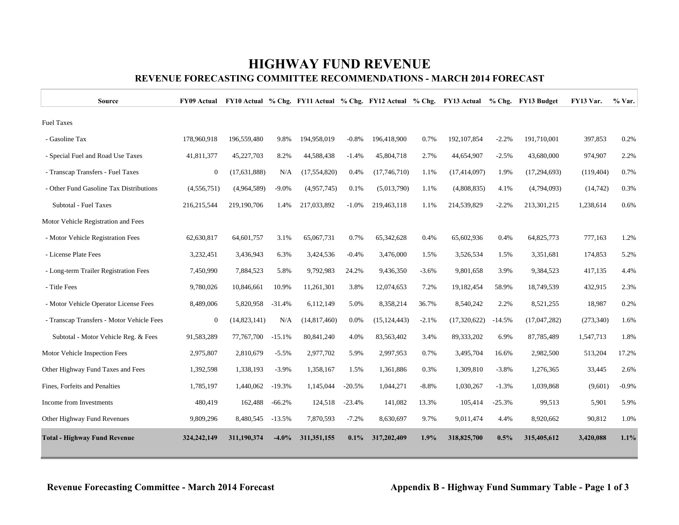## **HIGHWAY FUND REVENUE**

### **REVENUE FORECASTING COMMITTEE RECOMMENDATIONS - MARCH 2014 FORECAST**

| Source                                    | <b>FY09 Actual</b> |              |          |                |          |                |         | FY10 Actual % Chg. FY11 Actual % Chg. FY12 Actual % Chg. FY13 Actual % Chg. FY13 Budget |          |                | FY13 Var.  | % Var.  |
|-------------------------------------------|--------------------|--------------|----------|----------------|----------|----------------|---------|-----------------------------------------------------------------------------------------|----------|----------------|------------|---------|
| <b>Fuel Taxes</b>                         |                    |              |          |                |          |                |         |                                                                                         |          |                |            |         |
| - Gasoline Tax                            | 178,960,918        | 196,559,480  | 9.8%     | 194,958,019    | $-0.8%$  | 196,418,900    | 0.7%    | 192, 107, 854                                                                           | $-2.2%$  | 191,710,001    | 397,853    | 0.2%    |
| - Special Fuel and Road Use Taxes         | 41,811,377         | 45,227,703   | 8.2%     | 44,588,438     | $-1.4%$  | 45,804,718     | 2.7%    | 44,654,907                                                                              | $-2.5%$  | 43,680,000     | 974,907    | 2.2%    |
| - Transcap Transfers - Fuel Taxes         | $\overline{0}$     | (17,631,888) | N/A      | (17, 554, 820) | 0.4%     | (17,746,710)   | 1.1%    | (17, 414, 097)                                                                          | 1.9%     | (17, 294, 693) | (119, 404) | 0.7%    |
| - Other Fund Gasoline Tax Distributions   | (4,556,751)        | (4,964,589)  | $-9.0%$  | (4,957,745)    | 0.1%     | (5,013,790)    | 1.1%    | (4,808,835)                                                                             | 4.1%     | (4,794,093)    | (14, 742)  | 0.3%    |
| Subtotal - Fuel Taxes                     | 216, 215, 544      | 219,190,706  | 1.4%     | 217,033,892    | $-1.0%$  | 219.463.118    | 1.1%    | 214,539,829                                                                             | $-2.2%$  | 213,301,215    | 1,238,614  | 0.6%    |
| Motor Vehicle Registration and Fees       |                    |              |          |                |          |                |         |                                                                                         |          |                |            |         |
| - Motor Vehicle Registration Fees         | 62,630,817         | 64,601,757   | 3.1%     | 65,067,731     | 0.7%     | 65,342,628     | 0.4%    | 65,602,936                                                                              | 0.4%     | 64,825,773     | 777,163    | 1.2%    |
| - License Plate Fees                      | 3,232,451          | 3,436,943    | 6.3%     | 3,424,536      | $-0.4%$  | 3,476,000      | 1.5%    | 3,526,534                                                                               | 1.5%     | 3,351,681      | 174,853    | 5.2%    |
| - Long-term Trailer Registration Fees     | 7,450,990          | 7,884,523    | 5.8%     | 9,792,983      | 24.2%    | 9,436,350      | $-3.6%$ | 9,801,658                                                                               | 3.9%     | 9,384,523      | 417,135    | 4.4%    |
| - Title Fees                              | 9,780,026          | 10,846,661   | 10.9%    | 11,261,301     | 3.8%     | 12,074,653     | 7.2%    | 19,182,454                                                                              | 58.9%    | 18,749,539     | 432,915    | 2.3%    |
| - Motor Vehicle Operator License Fees     | 8,489,006          | 5,820,958    | $-31.4%$ | 6,112,149      | 5.0%     | 8,358,214      | 36.7%   | 8,540,242                                                                               | 2.2%     | 8,521,255      | 18,987     | 0.2%    |
| - Transcap Transfers - Motor Vehicle Fees | $\mathbf{0}$       | (14,823,141) | N/A      | (14,817,460)   | 0.0%     | (15, 124, 443) | $-2.1%$ | (17,320,622)                                                                            | $-14.5%$ | (17,047,282)   | (273, 340) | 1.6%    |
| Subtotal - Motor Vehicle Reg. & Fees      | 91,583,289         | 77,767,700   | $-15.1%$ | 80,841,240     | 4.0%     | 83,563,402     | 3.4%    | 89,333,202                                                                              | 6.9%     | 87,785,489     | 1,547,713  | 1.8%    |
| Motor Vehicle Inspection Fees             | 2,975,807          | 2,810,679    | $-5.5%$  | 2,977,702      | 5.9%     | 2,997,953      | 0.7%    | 3,495,704                                                                               | 16.6%    | 2,982,500      | 513,204    | 17.2%   |
| Other Highway Fund Taxes and Fees         | 1,392,598          | 1,338,193    | $-3.9%$  | 1,358,167      | 1.5%     | 1,361,886      | 0.3%    | 1,309,810                                                                               | $-3.8%$  | 1,276,365      | 33,445     | 2.6%    |
| Fines, Forfeits and Penalties             | 1,785,197          | 1,440,062    | $-19.3%$ | 1,145,044      | $-20.5%$ | 1,044,271      | $-8.8%$ | 1,030,267                                                                               | $-1.3%$  | 1,039,868      | (9,601)    | $-0.9%$ |
| Income from Investments                   | 480,419            | 162,488      | $-66.2%$ | 124,518        | $-23.4%$ | 141,082        | 13.3%   | 105,414                                                                                 | $-25.3%$ | 99,513         | 5,901      | 5.9%    |
| Other Highway Fund Revenues               | 9,809,296          | 8,480,545    | $-13.5%$ | 7,870,593      | $-7.2%$  | 8,630,697      | 9.7%    | 9,011,474                                                                               | 4.4%     | 8,920,662      | 90,812     | 1.0%    |
| <b>Total - Highway Fund Revenue</b>       | 324, 242, 149      | 311,190,374  | $-4.0\%$ | 311,351,155    | 0.1%     | 317,202,409    | 1.9%    | 318,825,700                                                                             | 0.5%     | 315,405,612    | 3,420,088  | 1.1%    |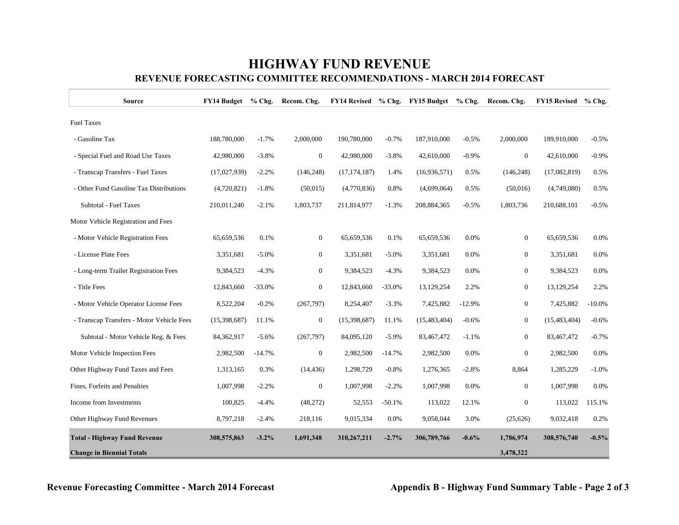### **HIGHWAY FUND REVENUE REVENUE FORECASTING COMMITTEE RECOMMENDATIONS - MARCH 2014 FORECAST**

| Source                                    | <b>FY14 Budget</b> | $%$ Chg. | Recom. Chg.      |                |          | FY14 Revised % Chg. FY15 Budget | $%$ Chg. | Recom. Chg.    | <b>FY15 Revised</b> | $%$ Chg.  |
|-------------------------------------------|--------------------|----------|------------------|----------------|----------|---------------------------------|----------|----------------|---------------------|-----------|
| <b>Fuel Taxes</b>                         |                    |          |                  |                |          |                                 |          |                |                     |           |
| - Gasoline Tax                            | 188,780,000        | $-1.7%$  | 2,000,000        | 190,780,000    | $-0.7%$  | 187,910,000                     | $-0.5%$  | 2,000,000      | 189,910,000         | $-0.5%$   |
| - Special Fuel and Road Use Taxes         | 42,980,000         | $-3.8%$  | $\boldsymbol{0}$ | 42,980,000     | $-3.8%$  | 42,610,000                      | $-0.9%$  | $\overline{0}$ | 42,610,000          | $-0.9%$   |
| - Transcap Transfers - Fuel Taxes         | (17,027,939)       | $-2.2%$  | (146, 248)       | (17, 174, 187) | 1.4%     | (16,936,571)                    | 0.5%     | (146, 248)     | (17,082,819)        | 0.5%      |
| - Other Fund Gasoline Tax Distributions   | (4,720,821)        | $-1.8%$  | (50,015)         | (4,770,836)    | 0.8%     | (4,699,064)                     | 0.5%     | (50,016)       | (4,749,080)         | 0.5%      |
| Subtotal - Fuel Taxes                     | 210,011,240        | $-2.1%$  | 1,803,737        | 211,814,977    | $-1.3%$  | 208,884,365                     | $-0.5%$  | 1,803,736      | 210,688,101         | $-0.5%$   |
| Motor Vehicle Registration and Fees       |                    |          |                  |                |          |                                 |          |                |                     |           |
| - Motor Vehicle Registration Fees         | 65,659,536         | 0.1%     | $\overline{0}$   | 65,659,536     | 0.1%     | 65,659,536                      | 0.0%     | $\overline{0}$ | 65,659,536          | 0.0%      |
| - License Plate Fees                      | 3,351,681          | $-5.0%$  | $\overline{0}$   | 3,351,681      | $-5.0\%$ | 3,351,681                       | 0.0%     | $\overline{0}$ | 3,351,681           | 0.0%      |
| - Long-term Trailer Registration Fees     | 9,384,523          | $-4.3%$  | $\overline{0}$   | 9,384,523      | $-4.3%$  | 9,384,523                       | 0.0%     | $\overline{0}$ | 9,384,523           | 0.0%      |
| - Title Fees                              | 12,843,660         | $-33.0%$ | $\overline{0}$   | 12,843,660     | $-33.0%$ | 13,129,254                      | 2.2%     | $\overline{0}$ | 13,129,254          | 2.2%      |
| - Motor Vehicle Operator License Fees     | 8,522,204          | $-0.2%$  | (267,797)        | 8,254,407      | $-3.3%$  | 7,425,882                       | $-12.9%$ | $\overline{0}$ | 7,425,882           | $-10.0\%$ |
| - Transcap Transfers - Motor Vehicle Fees | (15,398,687)       | 11.1%    | $\boldsymbol{0}$ | (15,398,687)   | 11.1%    | (15, 483, 404)                  | $-0.6%$  | $\overline{0}$ | (15, 483, 404)      | $-0.6%$   |
| Subtotal - Motor Vehicle Reg. & Fees      | 84,362,917         | $-5.6%$  | (267,797)        | 84,095,120     | $-5.9%$  | 83,467,472                      | $-1.1%$  | $\overline{0}$ | 83,467,472          | $-0.7%$   |
| Motor Vehicle Inspection Fees             | 2,982,500          | $-14.7%$ | $\boldsymbol{0}$ | 2,982,500      | $-14.7%$ | 2,982,500                       | 0.0%     | $\overline{0}$ | 2,982,500           | 0.0%      |
| Other Highway Fund Taxes and Fees         | 1,313,165          | 0.3%     | (14, 436)        | 1,298,729      | $-0.8%$  | 1,276,365                       | $-2.8%$  | 8,864          | 1,285,229           | $-1.0%$   |
| Fines, Forfeits and Penalties             | 1,007,998          | $-2.2%$  | $\boldsymbol{0}$ | 1,007,998      | $-2.2%$  | 1,007,998                       | 0.0%     | $\mathbf{0}$   | 1,007,998           | 0.0%      |
| Income from Investments                   | 100,825            | $-4.4%$  | (48,272)         | 52,553         | $-50.1%$ | 113,022                         | 12.1%    | $\overline{0}$ | 113,022             | 115.1%    |
| Other Highway Fund Revenues               | 8,797,218          | $-2.4%$  | 218,116          | 9,015,334      | 0.0%     | 9,058,044                       | 3.0%     | (25,626)       | 9,032,418           | 0.2%      |
| <b>Total - Highway Fund Revenue</b>       | 308,575,863        | $-3.2%$  | 1,691,348        | 310,267,211    | $-2.7%$  | 306,789,766                     | $-0.6\%$ | 1,786,974      | 308,576,740         | $-0.5%$   |
| <b>Change in Biennial Totals</b>          |                    |          |                  |                |          |                                 |          | 3,478,322      |                     |           |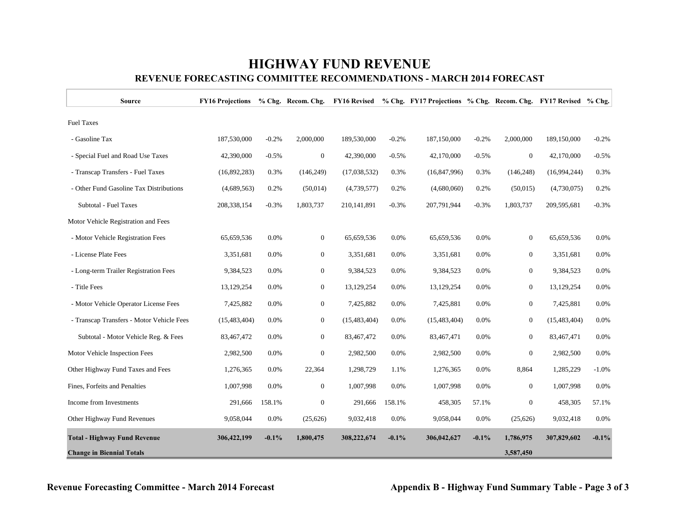## **HIGHWAY FUND REVENUE REVENUE FORECASTING COMMITTEE RECOMMENDATIONS - MARCH 2014 FORECAST**

| <b>Source</b>                             | <b>FY16 Projections</b> |         |                  |                |         | % Chg. Recom. Chg. FY16 Revised % Chg. FY17 Projections % Chg. Recom. Chg. FY17 Revised % Chg. |         |                  |                |         |
|-------------------------------------------|-------------------------|---------|------------------|----------------|---------|------------------------------------------------------------------------------------------------|---------|------------------|----------------|---------|
| <b>Fuel Taxes</b>                         |                         |         |                  |                |         |                                                                                                |         |                  |                |         |
| - Gasoline Tax                            | 187,530,000             | $-0.2%$ | 2,000,000        | 189,530,000    | $-0.2%$ | 187,150,000                                                                                    | $-0.2%$ | 2,000,000        | 189,150,000    | $-0.2%$ |
| - Special Fuel and Road Use Taxes         | 42,390,000              | $-0.5%$ | $\boldsymbol{0}$ | 42,390,000     | $-0.5%$ | 42,170,000                                                                                     | $-0.5%$ | $\mathbf{0}$     | 42,170,000     | $-0.5%$ |
| - Transcap Transfers - Fuel Taxes         | (16,892,283)            | 0.3%    | (146, 249)       | (17,038,532)   | 0.3%    | (16, 847, 996)                                                                                 | 0.3%    | (146, 248)       | (16,994,244)   | 0.3%    |
| - Other Fund Gasoline Tax Distributions   | (4,689,563)             | 0.2%    | (50, 014)        | (4,739,577)    | 0.2%    | (4,680,060)                                                                                    | 0.2%    | (50,015)         | (4,730,075)    | 0.2%    |
| Subtotal - Fuel Taxes                     | 208, 338, 154           | $-0.3%$ | 1,803,737        | 210,141,891    | $-0.3%$ | 207,791,944                                                                                    | $-0.3%$ | 1,803,737        | 209,595,681    | $-0.3%$ |
| Motor Vehicle Registration and Fees       |                         |         |                  |                |         |                                                                                                |         |                  |                |         |
| - Motor Vehicle Registration Fees         | 65,659,536              | 0.0%    | $\mathbf{0}$     | 65,659,536     | 0.0%    | 65,659,536                                                                                     | 0.0%    | $\mathbf{0}$     | 65,659,536     | 0.0%    |
| - License Plate Fees                      | 3,351,681               | 0.0%    | $\mathbf{0}$     | 3,351,681      | 0.0%    | 3,351,681                                                                                      | 0.0%    | $\mathbf{0}$     | 3,351,681      | 0.0%    |
| - Long-term Trailer Registration Fees     | 9,384,523               | 0.0%    | $\mathbf{0}$     | 9,384,523      | 0.0%    | 9,384,523                                                                                      | 0.0%    | $\mathbf{0}$     | 9,384,523      | 0.0%    |
| - Title Fees                              | 13,129,254              | 0.0%    | $\overline{0}$   | 13,129,254     | 0.0%    | 13,129,254                                                                                     | 0.0%    | $\overline{0}$   | 13,129,254     | 0.0%    |
| - Motor Vehicle Operator License Fees     | 7,425,882               | 0.0%    | $\mathbf{0}$     | 7,425,882      | 0.0%    | 7,425,881                                                                                      | 0.0%    | $\mathbf{0}$     | 7,425,881      | 0.0%    |
| - Transcap Transfers - Motor Vehicle Fees | (15, 483, 404)          | 0.0%    | $\mathbf{0}$     | (15, 483, 404) | 0.0%    | (15, 483, 404)                                                                                 | 0.0%    | $\boldsymbol{0}$ | (15, 483, 404) | 0.0%    |
| Subtotal - Motor Vehicle Reg. & Fees      | 83,467,472              | 0.0%    | $\mathbf{0}$     | 83,467,472     | 0.0%    | 83,467,471                                                                                     | 0.0%    | $\mathbf{0}$     | 83,467,471     | 0.0%    |
| Motor Vehicle Inspection Fees             | 2,982,500               | 0.0%    | $\mathbf{0}$     | 2,982,500      | 0.0%    | 2,982,500                                                                                      | 0.0%    | $\boldsymbol{0}$ | 2,982,500      | 0.0%    |
| Other Highway Fund Taxes and Fees         | 1,276,365               | 0.0%    | 22,364           | 1,298,729      | 1.1%    | 1,276,365                                                                                      | 0.0%    | 8,864            | 1,285,229      | $-1.0%$ |
| Fines, Forfeits and Penalties             | 1,007,998               | 0.0%    | $\mathbf{0}$     | 1,007,998      | 0.0%    | 1,007,998                                                                                      | 0.0%    | $\mathbf{0}$     | 1,007,998      | 0.0%    |
| Income from Investments                   | 291,666                 | 158.1%  | $\mathbf{0}$     | 291,666        | 158.1%  | 458,305                                                                                        | 57.1%   | $\boldsymbol{0}$ | 458,305        | 57.1%   |
| Other Highway Fund Revenues               | 9,058,044               | 0.0%    | (25,626)         | 9,032,418      | 0.0%    | 9,058,044                                                                                      | 0.0%    | (25,626)         | 9,032,418      | 0.0%    |
| <b>Total - Highway Fund Revenue</b>       | 306,422,199             | $-0.1%$ | 1,800,475        | 308,222,674    | $-0.1%$ | 306,042,627                                                                                    | $-0.1%$ | 1,786,975        | 307,829,602    | $-0.1%$ |
| <b>Change in Biennial Totals</b>          |                         |         |                  |                |         |                                                                                                |         | 3,587,450        |                |         |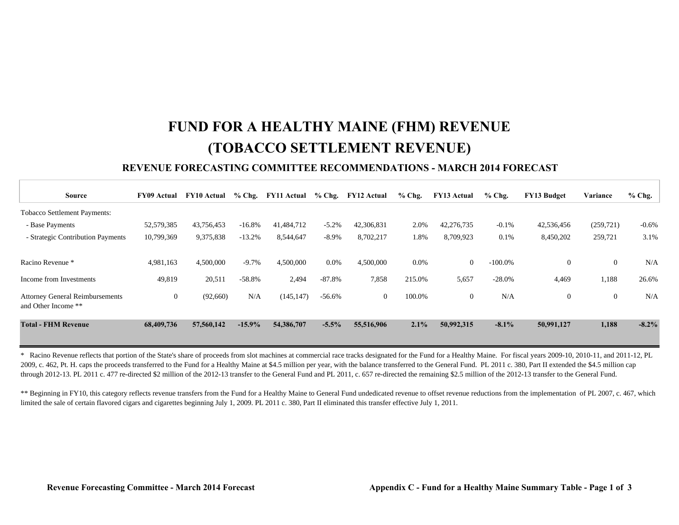## **FUND FOR A HEALTHY MAINE (FHM) REVENUE (TOBACCO SETTLEMENT REVENUE)**

#### **REVENUE FORECASTING COMMITTEE RECOMMENDATIONS - MARCH 2014 FORECAST**

| <b>Source</b>                                                 | <b>FY09 Actual</b> | <b>FY10 Actual</b> | $%$ Chg. | <b>FY11 Actual</b> |          | % Chg. FY12 Actual | $%$ Chg. | <b>FY13 Actual</b> | $%$ Chg.   | <b>FY13 Budget</b> | Variance       | $%$ Chg. |
|---------------------------------------------------------------|--------------------|--------------------|----------|--------------------|----------|--------------------|----------|--------------------|------------|--------------------|----------------|----------|
| <b>Tobacco Settlement Payments:</b>                           |                    |                    |          |                    |          |                    |          |                    |            |                    |                |          |
| - Base Payments                                               | 52,579,385         | 43,756,453         | $-16.8%$ | 41,484,712         | $-5.2%$  | 42,306,831         | 2.0%     | 42,276,735         | $-0.1%$    | 42,536,456         | (259, 721)     | $-0.6\%$ |
| - Strategic Contribution Payments                             | 10,799,369         | 9,375,838          | $-13.2%$ | 8,544,647          | $-8.9\%$ | 8,702,217          | 1.8%     | 8,709,923          | 0.1%       | 8,450,202          | 259,721        | 3.1%     |
| Racino Revenue *                                              | 4,981,163          | 4,500,000          | $-9.7\%$ | 4,500,000          | 0.0%     | 4,500,000          | 0.0%     | $\overline{0}$     | $-100.0\%$ | $\mathbf{0}$       | $\theta$       | N/A      |
| Income from Investments                                       | 49,819             | 20,511             | $-58.8%$ | 2,494              | $-87.8%$ | 7,858              | 215.0%   | 5,657              | $-28.0%$   | 4,469              | 1,188          | 26.6%    |
| <b>Attorney General Reimbursements</b><br>and Other Income ** | $\overline{0}$     | (92,660)           | N/A      | (145, 147)         | $-56.6%$ | $\overline{0}$     | 100.0%   | $\overline{0}$     | N/A        | $\mathbf{0}$       | $\overline{0}$ | N/A      |
| <b>Total - FHM Revenue</b>                                    | 68,409,736         | 57,560,142         | $-15.9%$ | 54,386,707         | $-5.5%$  | 55,516,906         | 2.1%     | 50,992,315         | $-8.1\%$   | 50,991,127         | 1,188          | $-8.2\%$ |

\* Racino Revenue reflects that portion of the State's share of proceeds from slot machines at commercial race tracks designated for the Fund for a Healthy Maine. For fiscal years 2009-10, 2010-11, and 2011-12, PL 2009, c. 462, Pt. H. caps the proceeds transferred to the Fund for a Healthy Maine at \$4.5 million per year, with the balance transferred to the General Fund. PL 2011 c. 380, Part II extended the \$4.5 million cap through 2012-13. PL 2011 c. 477 re-directed \$2 million of the 2012-13 transfer to the General Fund and PL 2011, c. 657 re-directed the remaining \$2.5 million of the 2012-13 transfer to the General Fund.

\*\* Beginning in FY10, this category reflects revenue transfers from the Fund for a Healthy Maine to General Fund undedicated revenue to offset revenue reductions from the implementation of PL 2007, c. 467, which limited the sale of certain flavored cigars and cigarettes beginning July 1, 2009. PL 2011 c. 380, Part II eliminated this transfer effective July 1, 2011.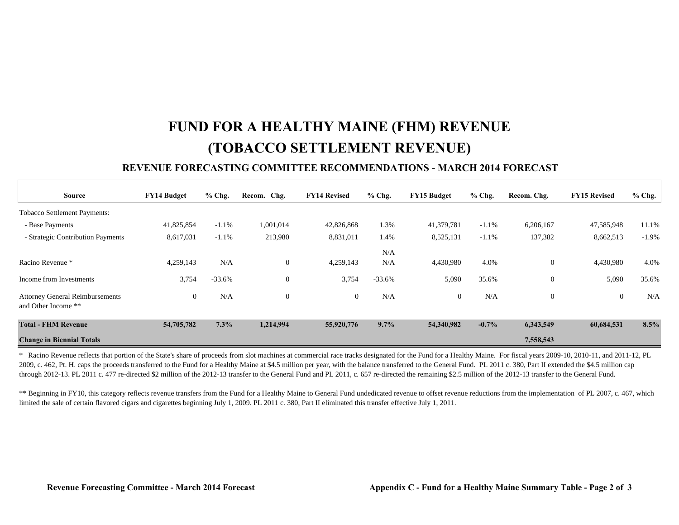## **FUND FOR A HEALTHY MAINE (FHM) REVENUE (TOBACCO SETTLEMENT REVENUE)**

#### **REVENUE FORECASTING COMMITTEE RECOMMENDATIONS - MARCH 2014 FORECAST**

| <b>Source</b>                                                 | <b>FY14 Budget</b> | $%$ Chg. | Recom. Chg.      | <b>FY14 Revised</b> | $%$ Chg. | <b>FY15 Budget</b> | $%$ Chg. | Recom. Chg.  | <b>FY15 Revised</b> | $%$ Chg. |
|---------------------------------------------------------------|--------------------|----------|------------------|---------------------|----------|--------------------|----------|--------------|---------------------|----------|
| <b>Tobacco Settlement Payments:</b>                           |                    |          |                  |                     |          |                    |          |              |                     |          |
| - Base Payments                                               | 41,825,854         | $-1.1%$  | 1,001,014        | 42,826,868          | 1.3%     | 41,379,781         | $-1.1%$  | 6,206,167    | 47,585,948          | 11.1%    |
| - Strategic Contribution Payments                             | 8,617,031          | $-1.1%$  | 213,980          | 8,831,011           | 1.4%     | 8,525,131          | $-1.1%$  | 137,382      | 8,662,513           | $-1.9%$  |
|                                                               |                    |          |                  |                     | N/A      |                    |          |              |                     |          |
| Racino Revenue *                                              | 4,259,143          | N/A      | $\mathbf{0}$     | 4,259,143           | N/A      | 4,430,980          | 4.0%     | $\mathbf{0}$ | 4,430,980           | 4.0%     |
| Income from Investments                                       | 3,754              | $-33.6%$ | $\boldsymbol{0}$ | 3,754               | $-33.6%$ | 5,090              | 35.6%    | $\mathbf{0}$ | 5,090               | 35.6%    |
| <b>Attorney General Reimbursements</b><br>and Other Income ** | $\mathbf{0}$       | N/A      | $\mathbf{0}$     | $\overline{0}$      | N/A      | $\theta$           | N/A      | $\mathbf{0}$ | $\overline{0}$      | N/A      |
| <b>Total - FHM Revenue</b>                                    | 54,705,782         | 7.3%     | 1,214,994        | 55,920,776          | 9.7%     | 54,340,982         | $-0.7\%$ | 6,343,549    | 60,684,531          | 8.5%     |
| <b>Change in Biennial Totals</b>                              |                    |          |                  |                     |          |                    |          | 7,558,543    |                     |          |

\* Racino Revenue reflects that portion of the State's share of proceeds from slot machines at commercial race tracks designated for the Fund for a Healthy Maine. For fiscal years 2009-10, 2010-11, and 2011-12, PL 2009, c. 462, Pt. H. caps the proceeds transferred to the Fund for a Healthy Maine at \$4.5 million per year, with the balance transferred to the General Fund. PL 2011 c. 380, Part II extended the \$4.5 million cap through 2012-13. PL 2011 c. 477 re-directed \$2 million of the 2012-13 transfer to the General Fund and PL 2011, c. 657 re-directed the remaining \$2.5 million of the 2012-13 transfer to the General Fund.

\*\* Beginning in FY10, this category reflects revenue transfers from the Fund for a Healthy Maine to General Fund undedicated revenue to offset revenue reductions from the implementation of PL 2007, c. 467, which limited the sale of certain flavored cigars and cigarettes beginning July 1, 2009. PL 2011 c. 380, Part II eliminated this transfer effective July 1, 2011.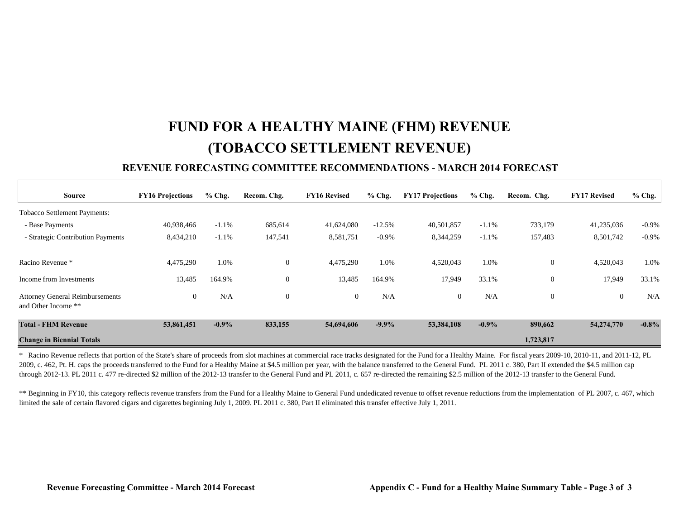## **FUND FOR A HEALTHY MAINE (FHM) REVENUE (TOBACCO SETTLEMENT REVENUE)**

#### **REVENUE FORECASTING COMMITTEE RECOMMENDATIONS - MARCH 2014 FORECAST**

| Source                                                        | <b>FY16 Projections</b> | $%$ Chg. | Recom. Chg.  | <b>FY16 Revised</b> | $%$ Chg. | <b>FY17 Projections</b> | $%$ Chg. | Recom. Chg.    | <b>FY17 Revised</b> | $%$ Chg. |
|---------------------------------------------------------------|-------------------------|----------|--------------|---------------------|----------|-------------------------|----------|----------------|---------------------|----------|
| <b>Tobacco Settlement Payments:</b>                           |                         |          |              |                     |          |                         |          |                |                     |          |
| - Base Payments                                               | 40,938,466              | $-1.1%$  | 685,614      | 41,624,080          | $-12.5%$ | 40,501,857              | $-1.1%$  | 733,179        | 41,235,036          | $-0.9\%$ |
| - Strategic Contribution Payments                             | 8,434,210               | $-1.1%$  | 147,541      | 8,581,751           | $-0.9\%$ | 8,344,259               | $-1.1%$  | 157,483        | 8,501,742           | $-0.9%$  |
|                                                               |                         |          |              |                     |          |                         |          |                |                     |          |
| Racino Revenue *                                              | 4,475,290               | 1.0%     | $\mathbf{0}$ | 4,475,290           | 1.0%     | 4,520,043               | 1.0%     | $\overline{0}$ | 4,520,043           | 1.0%     |
| Income from Investments                                       | 13,485                  | 164.9%   | $\mathbf{0}$ | 13,485              | 164.9%   | 17,949                  | 33.1%    | $\overline{0}$ | 17,949              | 33.1%    |
| <b>Attorney General Reimbursements</b><br>and Other Income ** | $\boldsymbol{0}$        | N/A      | $\theta$     | $\mathbf{0}$        | N/A      | $\theta$                | N/A      | $\overline{0}$ | $\mathbf{0}$        | N/A      |
| <b>Total - FHM Revenue</b>                                    | 53,861,451              | $-0.9\%$ | 833,155      | 54,694,606          | $-9.9\%$ | 53,384,108              | $-0.9\%$ | 890,662        | 54,274,770          | $-0.8\%$ |
| <b>Change in Biennial Totals</b>                              |                         |          |              |                     |          |                         |          | 1,723,817      |                     |          |

\* Racino Revenue reflects that portion of the State's share of proceeds from slot machines at commercial race tracks designated for the Fund for a Healthy Maine. For fiscal years 2009-10, 2010-11, and 2011-12, PL 2009, c. 462, Pt. H. caps the proceeds transferred to the Fund for a Healthy Maine at \$4.5 million per year, with the balance transferred to the General Fund. PL 2011 c. 380, Part II extended the \$4.5 million cap through 2012-13. PL 2011 c. 477 re-directed \$2 million of the 2012-13 transfer to the General Fund and PL 2011, c. 657 re-directed the remaining \$2.5 million of the 2012-13 transfer to the General Fund.

\*\* Beginning in FY10, this category reflects revenue transfers from the Fund for a Healthy Maine to General Fund undedicated revenue to offset revenue reductions from the implementation of PL 2007, c. 467, which limited the sale of certain flavored cigars and cigarettes beginning July 1, 2009. PL 2011 c. 380, Part II eliminated this transfer effective July 1, 2011.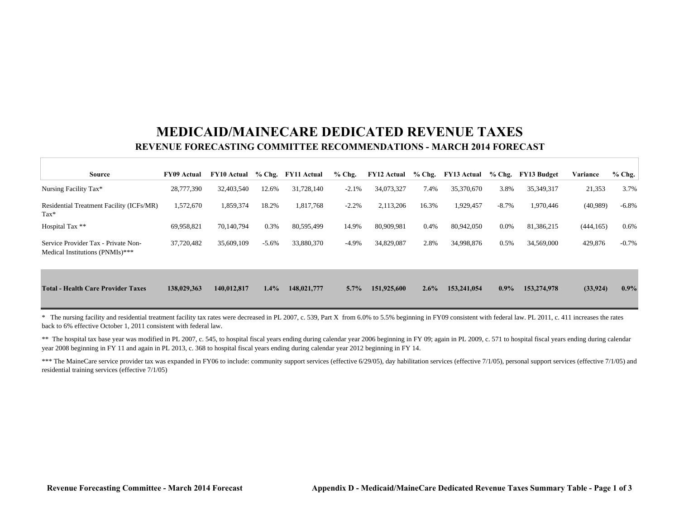## **MEDICAID/MAINECARE DEDICATED REVENUE TAXESREVENUE FORECASTING COMMITTEE RECOMMENDATIONS - MARCH 2014 FORECAST**

| <b>Source</b>                                                          | <b>FY09 Actual</b> | <b>FY10 Actual</b> |         | % Chg. FY11 Actual | $%$ Chg. | <b>FY12 Actual</b> | $%$ Chg. | <b>FY13 Actual</b> | $%$ Chg. | <b>FY13 Budget</b> | Variance   | $%$ Chg. |
|------------------------------------------------------------------------|--------------------|--------------------|---------|--------------------|----------|--------------------|----------|--------------------|----------|--------------------|------------|----------|
| Nursing Facility Tax*                                                  | 28,777,390         | 32,403,540         | 12.6%   | 31,728,140         | $-2.1%$  | 34,073,327         | 7.4%     | 35,370,670         | 3.8%     | 35,349,317         | 21,353     | 3.7%     |
| Residential Treatment Facility (ICFs/MR)<br>$\text{Tax*}$              | 1,572,670          | 1,859,374          | 18.2%   | 1,817,768          | $-2.2%$  | 2,113,206          | 16.3%    | 1,929,457          | $-8.7\%$ | 1,970,446          | (40,989)   | $-6.8\%$ |
| Hospital Tax **                                                        | 69,958,821         | 70,140,794         | 0.3%    | 80,595,499         | 14.9%    | 80,909,981         | 0.4%     | 80,942,050         | $0.0\%$  | 81,386,215         | (444, 165) | 0.6%     |
| Service Provider Tax - Private Non-<br>Medical Institutions (PNMIs)*** | 37,720,482         | 35,609,109         | $-5.6%$ | 33,880,370         | $-4.9%$  | 34,829,087         | 2.8%     | 34,998,876         | 0.5%     | 34,569,000         | 429,876    | $-0.7%$  |
| <b>Total - Health Care Provider Taxes</b>                              | 138,029,363        | 140,012,817        | $1.4\%$ | 148,021,777        | $5.7\%$  | 151,925,600        | 2.6%     | 153,241,054        | $0.9\%$  | 153,274,978        | (33, 924)  | $0.9\%$  |

\* The nursing facility and residential treatment facility tax rates were decreased in PL 2007, c. 539, Part X from 6.0% to 5.5% beginning in FY09 consistent with federal law. PL 2011, c. 411 increases the rates back to 6% effective October 1, 2011 consistent with federal law.

\*\* The hospital tax base year was modified in PL 2007, c. 545, to hospital fiscal years ending during calendar year 2006 beginning in FY 09; again in PL 2009, c. 571 to hospital fiscal years ending during calendar year 2008 beginning in FY 11 and again in PL 2013, c. 368 to hospital fiscal years ending during calendar year 2012 beginning in FY 14.

\*\*\* The MaineCare service provider tax was expanded in FY06 to include: community support services (effective 6/29/05), day habilitation services (effective 7/1/05), personal support services (effective 7/1/05) and residential training services (effective 7/1/05)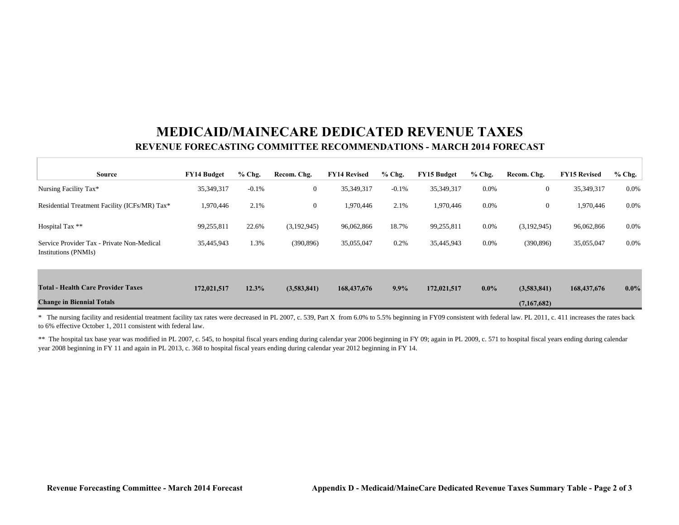## **MEDICAID/MAINECARE DEDICATED REVENUE TAXESREVENUE FORECASTING COMMITTEE RECOMMENDATIONS - MARCH 2014 FORECAST**

| <b>Source</b>                                                      | <b>FY14 Budget</b> | $%$ Chg. | Recom. Chg.    | <b>FY14 Revised</b> | $%$ Chg. | <b>FY15 Budget</b> | $%$ Chg. | Recom. Chg.      | <b>FY15 Revised</b> | $%$ Chg. |
|--------------------------------------------------------------------|--------------------|----------|----------------|---------------------|----------|--------------------|----------|------------------|---------------------|----------|
| Nursing Facility Tax*                                              | 35,349,317         | $-0.1%$  | $\overline{0}$ | 35,349,317          | $-0.1%$  | 35,349,317         | $0.0\%$  | $\overline{0}$   | 35,349,317          | 0.0%     |
| Residential Treatment Facility (ICFs/MR) Tax*                      | 1,970,446          | 2.1%     | $\overline{0}$ | 1,970,446           | 2.1%     | 1,970,446          | $0.0\%$  | $\boldsymbol{0}$ | 1,970,446           | $0.0\%$  |
| Hospital Tax **                                                    | 99,255,811         | 22.6%    | (3,192,945)    | 96,062,866          | 18.7%    | 99,255,811         | $0.0\%$  | (3,192,945)      | 96,062,866          | $0.0\%$  |
| Service Provider Tax - Private Non-Medical<br>Institutions (PNMIs) | 35,445,943         | 1.3%     | (390, 896)     | 35,055,047          | 0.2%     | 35,445,943         | $0.0\%$  | (390, 896)       | 35,055,047          | $0.0\%$  |
|                                                                    |                    |          |                |                     |          |                    |          |                  |                     |          |
| <b>Total - Health Care Provider Taxes</b>                          | 172,021,517        | 12.3%    | (3,583,841)    | 168,437,676         | $9.9\%$  | 172,021,517        | $0.0\%$  | (3,583,841)      | 168,437,676         | $0.0\%$  |
| <b>Change in Biennial Totals</b>                                   |                    |          |                |                     |          |                    |          | (7,167,682)      |                     |          |

\* The nursing facility and residential treatment facility tax rates were decreased in PL 2007, c. 539, Part X from 6.0% to 5.5% beginning in FY09 consistent with federal law. PL 2011, c. 411 increases the rates back to 6% effective October 1, 2011 consistent with federal law.

\*\* The hospital tax base year was modified in PL 2007, c. 545, to hospital fiscal years ending during calendar year 2006 beginning in FY 09; again in PL 2009, c. 571 to hospital fiscal years ending during calendar year 2008 beginning in FY 11 and again in PL 2013, c. 368 to hospital fiscal years ending during calendar year 2012 beginning in FY 14.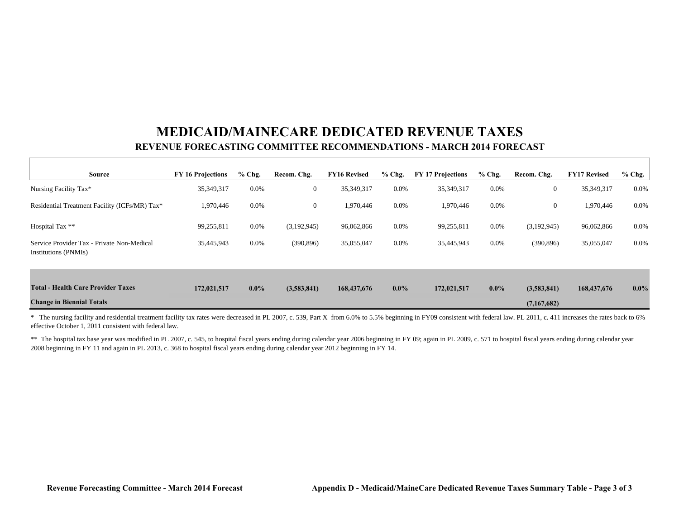## **MEDICAID/MAINECARE DEDICATED REVENUE TAXESREVENUE FORECASTING COMMITTEE RECOMMENDATIONS - MARCH 2014 FORECAST**

| <b>Source</b>                                                      | <b>FY 16 Projections</b> | $%$ Chg. | Recom. Chg.      | <b>FY16 Revised</b> | $%$ Chg. | <b>FY 17 Projections</b> | $%$ Chg. | Recom. Chg.    | <b>FY17 Revised</b> | $%$ Chg. |
|--------------------------------------------------------------------|--------------------------|----------|------------------|---------------------|----------|--------------------------|----------|----------------|---------------------|----------|
| Nursing Facility Tax*                                              | 35,349,317               | $0.0\%$  | $\boldsymbol{0}$ | 35,349,317          | $0.0\%$  | 35,349,317               | 0.0%     | $\overline{0}$ | 35,349,317          | 0.0%     |
| Residential Treatment Facility (ICFs/MR) Tax*                      | 1,970,446                | $0.0\%$  | $\boldsymbol{0}$ | 1,970,446           | $0.0\%$  | 1,970,446                | 0.0%     | $\overline{0}$ | 1,970,446           | 0.0%     |
| Hospital Tax **                                                    | 99,255,811               | $0.0\%$  | (3,192,945)      | 96,062,866          | $0.0\%$  | 99,255,811               | 0.0%     | (3,192,945)    | 96,062,866          | $0.0\%$  |
| Service Provider Tax - Private Non-Medical<br>Institutions (PNMIs) | 35,445,943               | $0.0\%$  | (390, 896)       | 35,055,047          | $0.0\%$  | 35,445,943               | 0.0%     | (390, 896)     | 35,055,047          | 0.0%     |
|                                                                    |                          |          |                  |                     |          |                          |          |                |                     |          |
| <b>Total - Health Care Provider Taxes</b>                          | 172,021,517              | $0.0\%$  | (3,583,841)      | 168,437,676         | $0.0\%$  | 172,021,517              | $0.0\%$  | (3,583,841)    | 168,437,676         | $0.0\%$  |
| <b>Change in Biennial Totals</b>                                   |                          |          |                  |                     |          |                          |          | (7,167,682)    |                     |          |

\* The nursing facility and residential treatment facility tax rates were decreased in PL 2007, c. 539, Part X from 6.0% to 5.5% beginning in FY09 consistent with federal law. PL 2011, c. 411 increases the rates back to 6% effective October 1, 2011 consistent with federal law.

\*\* The hospital tax base year was modified in PL 2007, c. 545, to hospital fiscal years ending during calendar year 2006 beginning in FY 09; again in PL 2009, c. 571 to hospital fiscal years ending during calendar year 2008 beginning in FY 11 and again in PL 2013, c. 368 to hospital fiscal years ending during calendar year 2012 beginning in FY 14.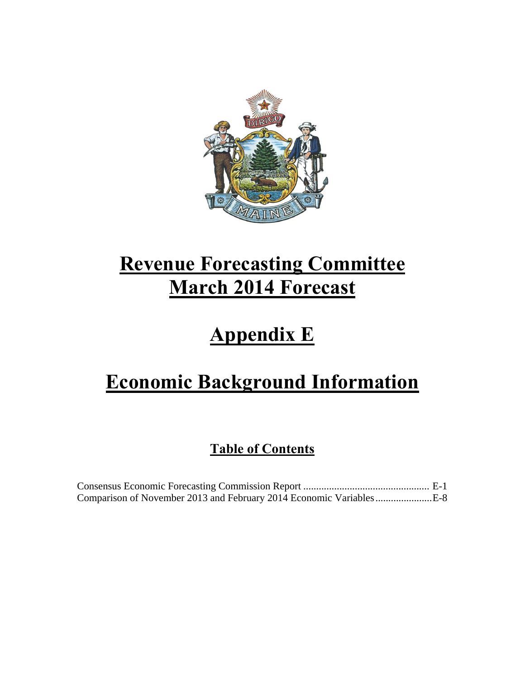

# **Revenue Forecasting Committee March 2014 Forecast**

# **Appendix E**

# **Economic Background Information**

## **Table of Contents**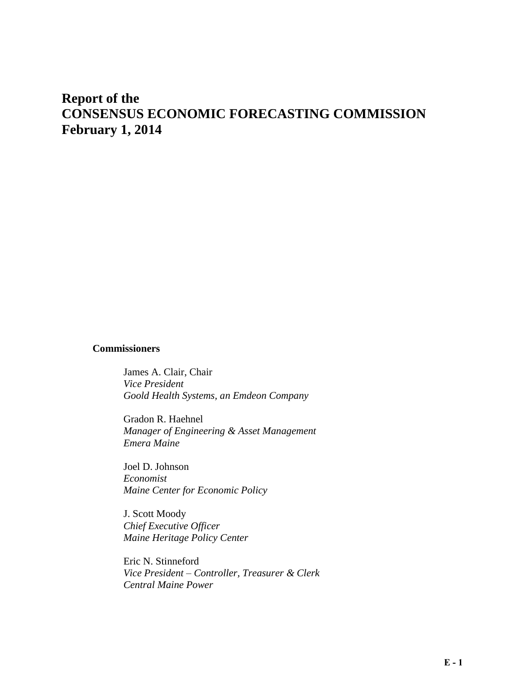## **Report of the CONSENSUS ECONOMIC FORECASTING COMMISSION February 1, 2014**

#### **Commissioners**

James A. Clair, Chair *Vice President Goold Health Systems, an Emdeon Company* 

Gradon R. Haehnel *Manager of Engineering & Asset Management Emera Maine* 

Joel D. Johnson *Economist Maine Center for Economic Policy* 

J. Scott Moody *Chief Executive Officer Maine Heritage Policy Center* 

Eric N. Stinneford *Vice President – Controller, Treasurer & Clerk Central Maine Power*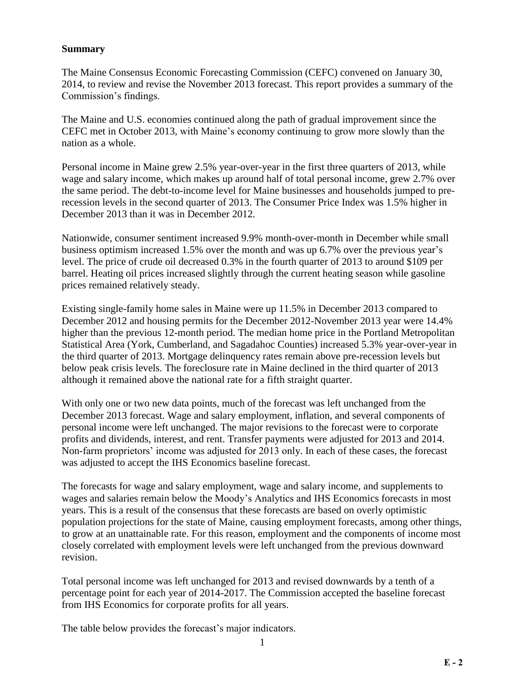#### **Summary**

The Maine Consensus Economic Forecasting Commission (CEFC) convened on January 30, 2014, to review and revise the November 2013 forecast. This report provides a summary of the Commission's findings.

The Maine and U.S. economies continued along the path of gradual improvement since the CEFC met in October 2013, with Maine's economy continuing to grow more slowly than the nation as a whole.

Personal income in Maine grew 2.5% year-over-year in the first three quarters of 2013, while wage and salary income, which makes up around half of total personal income, grew 2.7% over the same period. The debt-to-income level for Maine businesses and households jumped to prerecession levels in the second quarter of 2013. The Consumer Price Index was 1.5% higher in December 2013 than it was in December 2012.

Nationwide, consumer sentiment increased 9.9% month-over-month in December while small business optimism increased 1.5% over the month and was up 6.7% over the previous year's level. The price of crude oil decreased 0.3% in the fourth quarter of 2013 to around \$109 per barrel. Heating oil prices increased slightly through the current heating season while gasoline prices remained relatively steady.

Existing single-family home sales in Maine were up 11.5% in December 2013 compared to December 2012 and housing permits for the December 2012-November 2013 year were 14.4% higher than the previous 12-month period. The median home price in the Portland Metropolitan Statistical Area (York, Cumberland, and Sagadahoc Counties) increased 5.3% year-over-year in the third quarter of 2013. Mortgage delinquency rates remain above pre-recession levels but below peak crisis levels. The foreclosure rate in Maine declined in the third quarter of 2013 although it remained above the national rate for a fifth straight quarter.

With only one or two new data points, much of the forecast was left unchanged from the December 2013 forecast. Wage and salary employment, inflation, and several components of personal income were left unchanged. The major revisions to the forecast were to corporate profits and dividends, interest, and rent. Transfer payments were adjusted for 2013 and 2014. Non-farm proprietors' income was adjusted for 2013 only. In each of these cases, the forecast was adjusted to accept the IHS Economics baseline forecast.

The forecasts for wage and salary employment, wage and salary income, and supplements to wages and salaries remain below the Moody's Analytics and IHS Economics forecasts in most years. This is a result of the consensus that these forecasts are based on overly optimistic population projections for the state of Maine, causing employment forecasts, among other things, to grow at an unattainable rate. For this reason, employment and the components of income most closely correlated with employment levels were left unchanged from the previous downward revision.

Total personal income was left unchanged for 2013 and revised downwards by a tenth of a percentage point for each year of 2014-2017. The Commission accepted the baseline forecast from IHS Economics for corporate profits for all years.

The table below provides the forecast's major indicators.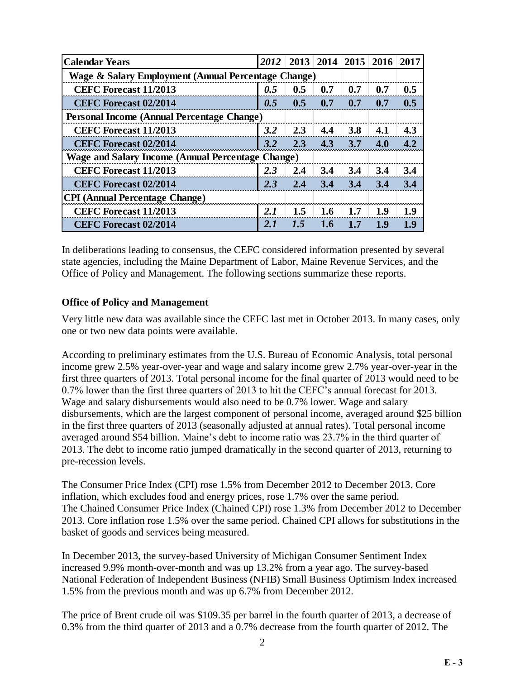| <b>Calendar Years</b>                                    | 2012 |         | $2013$ 2014 | 2015 | 2016 | 2017 |
|----------------------------------------------------------|------|---------|-------------|------|------|------|
| Wage & Salary Employment (Annual Percentage Change)      |      |         |             |      |      |      |
| <b>CEFC Forecast 11/2013</b>                             | 0.5  | 0.5     | 0.7         | 0.7  | 0.7  | 0.5  |
| <b>CEFC Forecast 02/2014</b>                             | 0.5  | 0.5     | 0.7         | 0.7  | 0.7  | 0.5  |
| <b>Personal Income (Annual Percentage Change)</b>        |      |         |             |      |      |      |
| <b>CEFC Forecast 11/2013</b>                             | 3.2  | 2.3     | 4.4         | 3.8  | 4.1  | 4.3  |
| <b>CEFC Forecast 02/2014</b>                             | 3.2  | 2.3     | 4.3         | 3.7  | 4.0  | 4.2  |
| <b>Wage and Salary Income (Annual Percentage Change)</b> |      |         |             |      |      |      |
| <b>CEFC Forecast 11/2013</b>                             | 2.3  | 2.4     | 3.4         | 3.4  | 3.4  | 3.4  |
| <b>CEFC Forecast 02/2014</b>                             | 2.3  | 2.4     | 3.4         | 3.4  | 3.4  | 3.4  |
| <b>CPI</b> (Annual Percentage Change)                    |      |         |             |      |      |      |
| <b>CEFC Forecast 11/2013</b>                             | 2.I  | $1.5\,$ | 1.6         | 1.7  | 1.9  | 1.9  |
| <b>CEFC Forecast 02/2014</b>                             | 2.1  | 1.5     | 1.6         | 17   | 1.9  | 1.9  |

In deliberations leading to consensus, the CEFC considered information presented by several state agencies, including the Maine Department of Labor, Maine Revenue Services, and the Office of Policy and Management. The following sections summarize these reports.

#### **Office of Policy and Management**

Very little new data was available since the CEFC last met in October 2013. In many cases, only one or two new data points were available.

According to preliminary estimates from the U.S. Bureau of Economic Analysis, total personal income grew 2.5% year-over-year and wage and salary income grew 2.7% year-over-year in the first three quarters of 2013. Total personal income for the final quarter of 2013 would need to be 0.7% lower than the first three quarters of 2013 to hit the CEFC's annual forecast for 2013. Wage and salary disbursements would also need to be 0.7% lower. Wage and salary disbursements, which are the largest component of personal income, averaged around \$25 billion in the first three quarters of 2013 (seasonally adjusted at annual rates). Total personal income averaged around \$54 billion. Maine's debt to income ratio was 23.7% in the third quarter of 2013. The debt to income ratio jumped dramatically in the second quarter of 2013, returning to pre-recession levels.

The Consumer Price Index (CPI) rose 1.5% from December 2012 to December 2013. Core inflation, which excludes food and energy prices, rose 1.7% over the same period. The Chained Consumer Price Index (Chained CPI) rose 1.3% from December 2012 to December 2013. Core inflation rose 1.5% over the same period. Chained CPI allows for substitutions in the basket of goods and services being measured.

In December 2013, the survey-based University of Michigan Consumer Sentiment Index increased 9.9% month-over-month and was up 13.2% from a year ago. The survey-based National Federation of Independent Business (NFIB) Small Business Optimism Index increased 1.5% from the previous month and was up 6.7% from December 2012.

The price of Brent crude oil was \$109.35 per barrel in the fourth quarter of 2013, a decrease of 0.3% from the third quarter of 2013 and a 0.7% decrease from the fourth quarter of 2012. The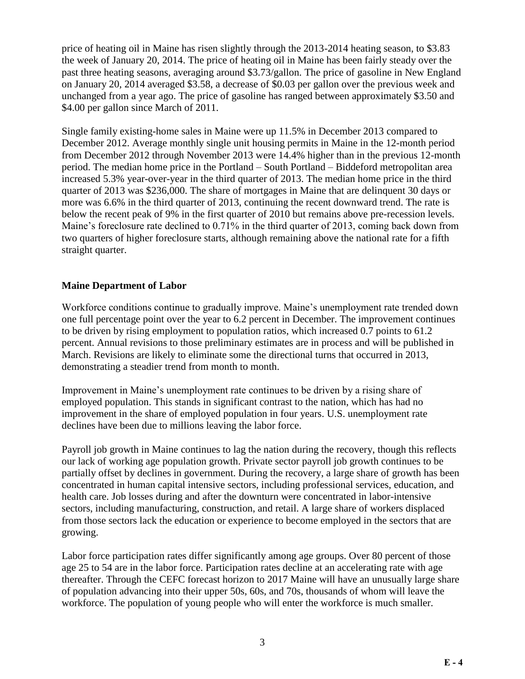price of heating oil in Maine has risen slightly through the 2013-2014 heating season, to \$3.83 the week of January 20, 2014. The price of heating oil in Maine has been fairly steady over the past three heating seasons, averaging around \$3.73/gallon. The price of gasoline in New England on January 20, 2014 averaged \$3.58, a decrease of \$0.03 per gallon over the previous week and unchanged from a year ago. The price of gasoline has ranged between approximately \$3.50 and \$4.00 per gallon since March of 2011.

Single family existing-home sales in Maine were up 11.5% in December 2013 compared to December 2012. Average monthly single unit housing permits in Maine in the 12-month period from December 2012 through November 2013 were 14.4% higher than in the previous 12-month period. The median home price in the Portland – South Portland – Biddeford metropolitan area increased 5.3% year-over-year in the third quarter of 2013. The median home price in the third quarter of 2013 was \$236,000. The share of mortgages in Maine that are delinquent 30 days or more was 6.6% in the third quarter of 2013, continuing the recent downward trend. The rate is below the recent peak of 9% in the first quarter of 2010 but remains above pre-recession levels. Maine's foreclosure rate declined to 0.71% in the third quarter of 2013, coming back down from two quarters of higher foreclosure starts, although remaining above the national rate for a fifth straight quarter.

#### **Maine Department of Labor**

Workforce conditions continue to gradually improve. Maine's unemployment rate trended down one full percentage point over the year to 6.2 percent in December. The improvement continues to be driven by rising employment to population ratios, which increased 0.7 points to 61.2 percent. Annual revisions to those preliminary estimates are in process and will be published in March. Revisions are likely to eliminate some the directional turns that occurred in 2013, demonstrating a steadier trend from month to month.

Improvement in Maine's unemployment rate continues to be driven by a rising share of employed population. This stands in significant contrast to the nation, which has had no improvement in the share of employed population in four years. U.S. unemployment rate declines have been due to millions leaving the labor force.

Payroll job growth in Maine continues to lag the nation during the recovery, though this reflects our lack of working age population growth. Private sector payroll job growth continues to be partially offset by declines in government. During the recovery, a large share of growth has been concentrated in human capital intensive sectors, including professional services, education, and health care. Job losses during and after the downturn were concentrated in labor-intensive sectors, including manufacturing, construction, and retail. A large share of workers displaced from those sectors lack the education or experience to become employed in the sectors that are growing.

Labor force participation rates differ significantly among age groups. Over 80 percent of those age 25 to 54 are in the labor force. Participation rates decline at an accelerating rate with age thereafter. Through the CEFC forecast horizon to 2017 Maine will have an unusually large share of population advancing into their upper 50s, 60s, and 70s, thousands of whom will leave the workforce. The population of young people who will enter the workforce is much smaller.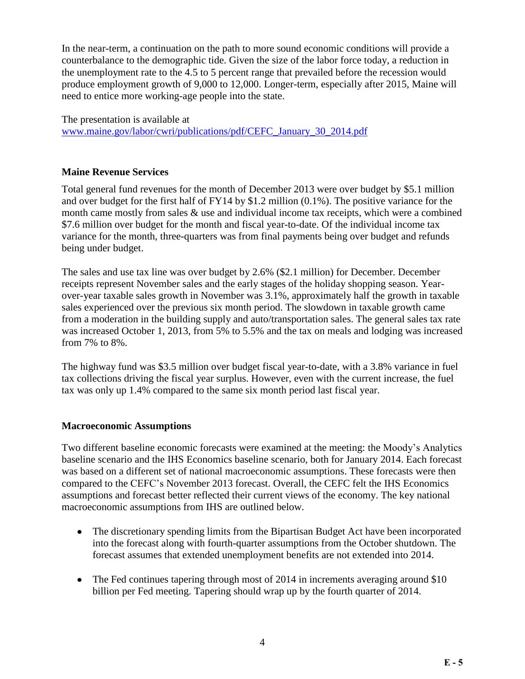In the near-term, a continuation on the path to more sound economic conditions will provide a counterbalance to the demographic tide. Given the size of the labor force today, a reduction in the unemployment rate to the 4.5 to 5 percent range that prevailed before the recession would produce employment growth of 9,000 to 12,000. Longer-term, especially after 2015, Maine will need to entice more working-age people into the state.

The presentation is available at [www.maine.gov/labor/cwri/publications/pdf/CEFC\\_January\\_30\\_2014.pdf](http://www.maine.gov/labor/cwri/publications/pdf/CEFC_January_30_2014.pdf)

#### **Maine Revenue Services**

Total general fund revenues for the month of December 2013 were over budget by \$5.1 million and over budget for the first half of FY14 by \$1.2 million (0.1%). The positive variance for the month came mostly from sales & use and individual income tax receipts, which were a combined \$7.6 million over budget for the month and fiscal year-to-date. Of the individual income tax variance for the month, three-quarters was from final payments being over budget and refunds being under budget.

The sales and use tax line was over budget by 2.6% (\$2.1 million) for December. December receipts represent November sales and the early stages of the holiday shopping season. Yearover-year taxable sales growth in November was 3.1%, approximately half the growth in taxable sales experienced over the previous six month period. The slowdown in taxable growth came from a moderation in the building supply and auto/transportation sales. The general sales tax rate was increased October 1, 2013, from 5% to 5.5% and the tax on meals and lodging was increased from 7% to 8%.

The highway fund was \$3.5 million over budget fiscal year-to-date, with a 3.8% variance in fuel tax collections driving the fiscal year surplus. However, even with the current increase, the fuel tax was only up 1.4% compared to the same six month period last fiscal year.

#### **Macroeconomic Assumptions**

Two different baseline economic forecasts were examined at the meeting: the Moody's Analytics baseline scenario and the IHS Economics baseline scenario, both for January 2014. Each forecast was based on a different set of national macroeconomic assumptions. These forecasts were then compared to the CEFC's November 2013 forecast. Overall, the CEFC felt the IHS Economics assumptions and forecast better reflected their current views of the economy. The key national macroeconomic assumptions from IHS are outlined below.

- The discretionary spending limits from the Bipartisan Budget Act have been incorporated into the forecast along with fourth-quarter assumptions from the October shutdown. The forecast assumes that extended unemployment benefits are not extended into 2014.
- The Fed continues tapering through most of 2014 in increments averaging around \$10 billion per Fed meeting. Tapering should wrap up by the fourth quarter of 2014.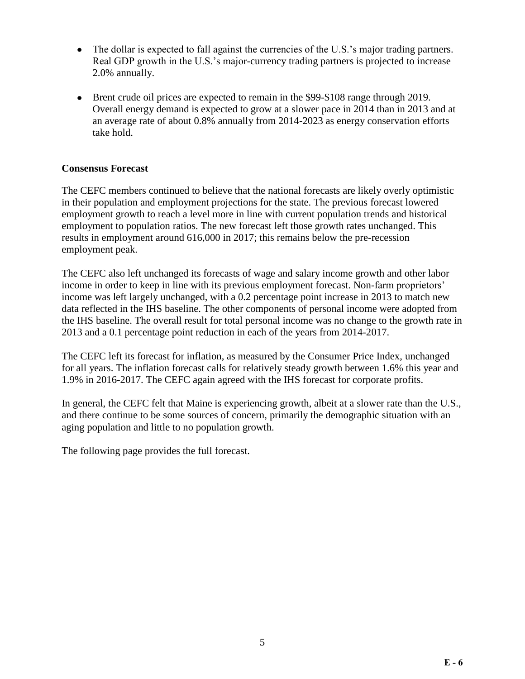- The dollar is expected to fall against the currencies of the U.S.'s major trading partners. Real GDP growth in the U.S.'s major-currency trading partners is projected to increase 2.0% annually.
- Brent crude oil prices are expected to remain in the \$99-\$108 range through 2019. Overall energy demand is expected to grow at a slower pace in 2014 than in 2013 and at an average rate of about 0.8% annually from 2014-2023 as energy conservation efforts take hold.

### **Consensus Forecast**

The CEFC members continued to believe that the national forecasts are likely overly optimistic in their population and employment projections for the state. The previous forecast lowered employment growth to reach a level more in line with current population trends and historical employment to population ratios. The new forecast left those growth rates unchanged. This results in employment around 616,000 in 2017; this remains below the pre-recession employment peak.

The CEFC also left unchanged its forecasts of wage and salary income growth and other labor income in order to keep in line with its previous employment forecast. Non-farm proprietors' income was left largely unchanged, with a 0.2 percentage point increase in 2013 to match new data reflected in the IHS baseline. The other components of personal income were adopted from the IHS baseline. The overall result for total personal income was no change to the growth rate in 2013 and a 0.1 percentage point reduction in each of the years from 2014-2017.

The CEFC left its forecast for inflation, as measured by the Consumer Price Index, unchanged for all years. The inflation forecast calls for relatively steady growth between 1.6% this year and 1.9% in 2016-2017. The CEFC again agreed with the IHS forecast for corporate profits.

In general, the CEFC felt that Maine is experiencing growth, albeit at a slower rate than the U.S., and there continue to be some sources of concern, primarily the demographic situation with an aging population and little to no population growth.

The following page provides the full forecast.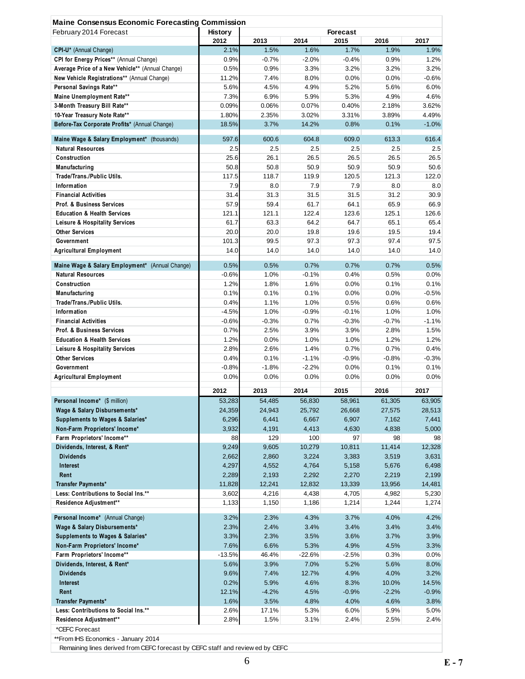| <b>Maine Consensus Economic Forecasting Commission</b><br>February 2014 Forecast | <b>History</b>  |              |                 | <b>Forecast</b> |              |                                                                                                                                                                                     |
|----------------------------------------------------------------------------------|-----------------|--------------|-----------------|-----------------|--------------|-------------------------------------------------------------------------------------------------------------------------------------------------------------------------------------|
|                                                                                  | 2012            | 2013         | 2014            | 2015            | 2016         | 2017                                                                                                                                                                                |
| CPI-U* (Annual Change)                                                           | 2.1%            | 1.5%         | 1.6%            | 1.7%            | 1.9%         | 1.9%                                                                                                                                                                                |
| CPI for Energy Prices** (Annual Change)                                          | 0.9%            | $-0.7%$      | $-2.0%$         | $-0.4%$         | 0.9%         | 1.2%                                                                                                                                                                                |
| Average Price of a New Vehicle** (Annual Change)                                 | 0.5%            | 0.9%         | 3.3%            | 3.2%            | 3.2%         | 3.2%                                                                                                                                                                                |
| New Vehicle Registrations** (Annual Change)                                      | 11.2%           | 7.4%         | 8.0%            | 0.0%            | 0.0%         | $-0.6%$                                                                                                                                                                             |
| Personal Savings Rate**                                                          | 5.6%            | 4.5%         | 4.9%            | 5.2%            | 5.6%         | 6.0%                                                                                                                                                                                |
| Maine Unemployment Rate**                                                        | 7.3%            | 6.9%         | 5.9%            | 5.3%            | 4.9%         | 4.6%                                                                                                                                                                                |
| 3-Month Treasury Bill Rate**                                                     | 0.09%           | 0.06%        | 0.07%           | 0.40%           | 2.18%        | 3.62%                                                                                                                                                                               |
| 10-Year Treasury Note Rate**                                                     | 1.80%           | 2.35%        | 3.02%           | 3.31%           | 3.89%        | 4.49%                                                                                                                                                                               |
| Before-Tax Corporate Profits* (Annual Change)                                    | 18.5%           | 3.7%         | 14.2%           | 0.8%            | 0.1%         | $-1.0%$                                                                                                                                                                             |
| Maine Wage & Salary Employment* (thousands)                                      | 597.6           | 600.6        | 604.8           | 609.0           | 613.3        | 616.4                                                                                                                                                                               |
| <b>Natural Resources</b>                                                         | 2.5             | 2.5          | 2.5             | 2.5             | 2.5          | 2.5                                                                                                                                                                                 |
| Construction                                                                     | 25.6            | 26.1         | 26.5            | 26.5            | 26.5         | 26.5                                                                                                                                                                                |
| Manufacturing                                                                    | 50.8            | 50.8         | 50.9            | 50.9            | 50.9         | 50.6                                                                                                                                                                                |
| Trade/Trans./Public Utils.                                                       | 117.5           | 118.7        | 119.9           | 120.5           | 121.3        | 122.0                                                                                                                                                                               |
| Information                                                                      | 7.9             | 8.0          | 7.9             | 7.9             | 8.0          | 8.0                                                                                                                                                                                 |
| <b>Financial Activities</b>                                                      | 31.4            | 31.3         | 31.5            | 31.5            | 31.2         | 30.9                                                                                                                                                                                |
| <b>Prof. &amp; Business Services</b>                                             | 57.9            | 59.4         | 61.7            | 64.1            | 65.9         | 66.9                                                                                                                                                                                |
| <b>Education &amp; Health Services</b>                                           | 121.1           | 121.1        | 122.4           | 123.6           | 125.1        | 126.6                                                                                                                                                                               |
| Leisure & Hospitality Services                                                   | 61.7            | 63.3         | 64.2            | 64.7            | 65.1         | 65.4                                                                                                                                                                                |
| <b>Other Services</b>                                                            | 20.0            | 20.0         | 19.8            | 19.6            | 19.5         | 19.4                                                                                                                                                                                |
| Government                                                                       | 101.3           | 99.5         | 97.3            | 97.3            | 97.4         | 97.5                                                                                                                                                                                |
| <b>Agricultural Employment</b>                                                   | 14.0            | 14.0         | 14.0            | 14.0            | 14.0         | 14.0                                                                                                                                                                                |
|                                                                                  |                 |              |                 | 0.7%            |              |                                                                                                                                                                                     |
| Maine Wage & Salary Employment* (Annual Change)<br><b>Natural Resources</b>      | 0.5%<br>$-0.6%$ | 0.5%<br>1.0% | 0.7%<br>$-0.1%$ | 0.4%            | 0.7%<br>0.5% | 0.5%<br>0.0%                                                                                                                                                                        |
| Construction                                                                     | 1.2%            | 1.8%         | 1.6%            | 0.0%            | 0.1%         | 0.1%                                                                                                                                                                                |
| Manufacturing                                                                    | 0.1%            | 0.1%         | 0.1%            | 0.0%            | 0.0%         | $-0.5%$                                                                                                                                                                             |
| Trade/Trans./Public Utils.                                                       | 0.4%            | 1.1%         | 1.0%            | 0.5%            | 0.6%         | 0.6%                                                                                                                                                                                |
| Information                                                                      | $-4.5%$         | 1.0%         | $-0.9%$         | $-0.1%$         | 1.0%         | 1.0%                                                                                                                                                                                |
| <b>Financial Activities</b>                                                      | $-0.6%$         | $-0.3%$      | 0.7%            | $-0.3%$         | $-0.7%$      | $-1.1%$                                                                                                                                                                             |
| <b>Prof. &amp; Business Services</b>                                             | 0.7%            | 2.5%         | 3.9%            | 3.9%            | 2.8%         | 1.5%                                                                                                                                                                                |
| <b>Education &amp; Health Services</b>                                           | 1.2%            | 0.0%         | 1.0%            | 1.0%            | 1.2%         | 1.2%                                                                                                                                                                                |
| <b>Leisure &amp; Hospitality Services</b>                                        | 2.8%            | 2.6%         | 1.4%            | 0.7%            | 0.7%         | 0.4%                                                                                                                                                                                |
| <b>Other Services</b>                                                            | 0.4%            | 0.1%         | $-1.1%$         | $-0.9%$         | $-0.8%$      | $-0.3%$                                                                                                                                                                             |
| Government                                                                       | $-0.8%$         | $-1.8%$      | $-2.2%$         | 0.0%            | 0.1%         | 0.1%                                                                                                                                                                                |
| <b>Agricultural Employment</b>                                                   | 0.0%            | 0.0%         | 0.0%            | 0.0%            | 0.0%         | 0.0%                                                                                                                                                                                |
|                                                                                  | 2012            | 2013         |                 |                 |              |                                                                                                                                                                                     |
|                                                                                  |                 |              | 2014            | 2015            | 2016         | 2017                                                                                                                                                                                |
| Personal Income* (\$ million)                                                    | 53,283          | 54,485       | 56,830          | 58,961          | 61,305       | 63,905                                                                                                                                                                              |
| Wage & Salary Disbursements*                                                     | 24,359          | 24,943       | 25,792<br>6,667 | 26,668<br>6,907 | 27,575       | 28,513                                                                                                                                                                              |
| Supplements to Wages & Salaries*                                                 |                 |              |                 |                 | 7,162        | 7,441                                                                                                                                                                               |
|                                                                                  | 6,296           | 6,441        |                 |                 |              |                                                                                                                                                                                     |
| Non-Farm Proprietors' Income*                                                    | 3,932           | 4,191        | 4,413           | 4,630           | 4,838        |                                                                                                                                                                                     |
| Farm Proprietors' Income**                                                       | 88              | 129          | 100             | 97              | 98           |                                                                                                                                                                                     |
| Dividends, Interest, & Rent*                                                     | 9,249           | 9,605        | 10,279          | 10,811          | 11,414       |                                                                                                                                                                                     |
| <b>Dividends</b>                                                                 | 2,662           | 2,860        | 3,224           | 3,383           | 3,519        |                                                                                                                                                                                     |
| Interest                                                                         | 4,297           | 4,552        | 4,764           | 5,158           | 5,676        |                                                                                                                                                                                     |
| Rent                                                                             | 2,289           | 2,193        | 2,292           | 2,270           | 2,219        |                                                                                                                                                                                     |
| Transfer Payments*                                                               | 11,828          | 12,241       | 12,832          | 13,339          | 13,956       |                                                                                                                                                                                     |
| Less: Contributions to Social Ins.**                                             | 3,602           | 4,216        | 4,438           | 4,705           | 4,982        |                                                                                                                                                                                     |
| Residence Adjustment**                                                           | 1,133           | 1,150        | 1,186           | 1,214           | 1,244        |                                                                                                                                                                                     |
| Personal Income* (Annual Change)                                                 | 3.2%            | 2.3%         | 4.3%            | 3.7%            | 4.0%         |                                                                                                                                                                                     |
| Wage & Salary Disbursements*                                                     | 2.3%            | 2.4%         | 3.4%            | 3.4%            | 3.4%         |                                                                                                                                                                                     |
| Supplements to Wages & Salaries*                                                 | 3.3%            | 2.3%         | 3.5%            | 3.6%            | 3.7%         |                                                                                                                                                                                     |
| Non-Farm Proprietors' Income*                                                    | 7.6%            | 6.6%         | 5.3%            | 4.9%            | 4.5%         |                                                                                                                                                                                     |
| Farm Proprietors' Income**                                                       | $-13.5%$        | 46.4%        | -22.6%          | $-2.5%$         | 0.3%         |                                                                                                                                                                                     |
| Dividends, Interest, & Rent*                                                     | 5.6%            | 3.9%         | 7.0%            | 5.2%            | 5.6%         |                                                                                                                                                                                     |
| <b>Dividends</b>                                                                 | 9.6%            | 7.4%         | 12.7%           | 4.9%            | 4.0%         |                                                                                                                                                                                     |
| Interest                                                                         | 0.2%            | 5.9%         | 4.6%            | 8.3%            | 10.0%        |                                                                                                                                                                                     |
| Rent                                                                             | 12.1%           | $-4.2%$      | 4.5%            | $-0.9%$         | $-2.2%$      |                                                                                                                                                                                     |
| Transfer Payments*                                                               | 1.6%            | 3.5%         | 4.8%            | 4.0%            | 4.6%         |                                                                                                                                                                                     |
| Less: Contributions to Social Ins.**                                             | 2.6%            | 17.1%        | 5.3%            | 6.0%            | 5.9%         |                                                                                                                                                                                     |
| Residence Adjustment**                                                           | 2.8%            | 1.5%         | 3.1%            | 2.4%            | 2.5%         | 5,000<br>98<br>12,328<br>3,631<br>6,498<br>2,199<br>14,481<br>5,230<br>1,274<br>4.2%<br>3.4%<br>3.9%<br>3.3%<br>$0.0\%$<br>8.0%<br>3.2%<br>14.5%<br>$-0.9%$<br>3.8%<br>5.0%<br>2.4% |
| *CEFC Forecast<br>**From IHS Economics - January 2014                            |                 |              |                 |                 |              |                                                                                                                                                                                     |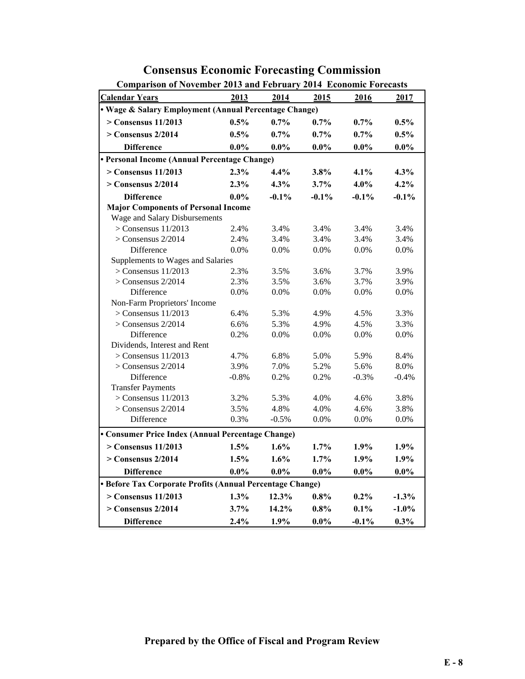| <b>Comparison of November 2013 and February 2014 Economic Forecasts</b> |         |          |          |          |          |  |  |  |  |  |
|-------------------------------------------------------------------------|---------|----------|----------|----------|----------|--|--|--|--|--|
| <b>Calendar Years</b>                                                   | 2013    | 2014     | 2015     | 2016     | 2017     |  |  |  |  |  |
| • Wage & Salary Employment (Annual Percentage Change)                   |         |          |          |          |          |  |  |  |  |  |
| $>$ Consensus 11/2013                                                   | 0.5%    | $0.7\%$  | 0.7%     | $0.7\%$  | $0.5\%$  |  |  |  |  |  |
| $>$ Consensus 2/2014                                                    | 0.5%    | 0.7%     | $0.7\%$  | $0.7\%$  | 0.5%     |  |  |  |  |  |
| <b>Difference</b>                                                       | $0.0\%$ | $0.0\%$  | $0.0\%$  | $0.0\%$  | $0.0\%$  |  |  |  |  |  |
| • Personal Income (Annual Percentage Change)                            |         |          |          |          |          |  |  |  |  |  |
| $>$ Consensus 11/2013                                                   | 2.3%    | 4.4%     | 3.8%     | 4.1%     | 4.3%     |  |  |  |  |  |
| $>$ Consensus 2/2014                                                    | 2.3%    | 4.3%     | 3.7%     | 4.0%     | 4.2%     |  |  |  |  |  |
| <b>Difference</b>                                                       | $0.0\%$ | $-0.1\%$ | $-0.1\%$ | $-0.1\%$ | $-0.1%$  |  |  |  |  |  |
| <b>Major Components of Personal Income</b>                              |         |          |          |          |          |  |  |  |  |  |
| Wage and Salary Disbursements                                           |         |          |          |          |          |  |  |  |  |  |
| $>$ Consensus 11/2013                                                   | 2.4%    | 3.4%     | 3.4%     | 3.4%     | 3.4%     |  |  |  |  |  |
| $>$ Consensus 2/2014                                                    | 2.4%    | 3.4%     | 3.4%     | 3.4%     | 3.4%     |  |  |  |  |  |
| Difference                                                              | 0.0%    | 0.0%     | 0.0%     | 0.0%     | $0.0\%$  |  |  |  |  |  |
| Supplements to Wages and Salaries                                       |         |          |          |          |          |  |  |  |  |  |
| $>$ Consensus 11/2013                                                   | 2.3%    | 3.5%     | 3.6%     | 3.7%     | 3.9%     |  |  |  |  |  |
| $>$ Consensus 2/2014                                                    | 2.3%    | 3.5%     | 3.6%     | 3.7%     | 3.9%     |  |  |  |  |  |
| Difference                                                              | 0.0%    | 0.0%     | 0.0%     | 0.0%     | $0.0\%$  |  |  |  |  |  |
| Non-Farm Proprietors' Income                                            |         |          |          |          |          |  |  |  |  |  |
| $>$ Consensus 11/2013                                                   | 6.4%    | 5.3%     | 4.9%     | 4.5%     | 3.3%     |  |  |  |  |  |
| $>$ Consensus 2/2014                                                    | 6.6%    | 5.3%     | 4.9%     | 4.5%     | 3.3%     |  |  |  |  |  |
| Difference                                                              | 0.2%    | 0.0%     | 0.0%     | 0.0%     | 0.0%     |  |  |  |  |  |
| Dividends, Interest and Rent                                            |         |          |          |          |          |  |  |  |  |  |
| $>$ Consensus 11/2013                                                   | 4.7%    | 6.8%     | 5.0%     | 5.9%     | 8.4%     |  |  |  |  |  |
| $>$ Consensus 2/2014                                                    | 3.9%    | 7.0%     | 5.2%     | 5.6%     | 8.0%     |  |  |  |  |  |
| Difference                                                              | $-0.8%$ | 0.2%     | 0.2%     | $-0.3%$  | $-0.4%$  |  |  |  |  |  |
| <b>Transfer Payments</b>                                                |         |          |          |          |          |  |  |  |  |  |
| $>$ Consensus 11/2013                                                   | 3.2%    | 5.3%     | 4.0%     | 4.6%     | 3.8%     |  |  |  |  |  |
| $>$ Consensus 2/2014                                                    | 3.5%    | 4.8%     | 4.0%     | 4.6%     | 3.8%     |  |  |  |  |  |
| Difference                                                              | 0.3%    | $-0.5%$  | 0.0%     | $0.0\%$  | $0.0\%$  |  |  |  |  |  |
| • Consumer Price Index (Annual Percentage Change)                       |         |          |          |          |          |  |  |  |  |  |
| $>$ Consensus 11/2013                                                   | 1.5%    | 1.6%     | 1.7%     | 1.9%     | 1.9%     |  |  |  |  |  |
| $>$ Consensus 2/2014                                                    | 1.5%    | 1.6%     | $1.7\%$  | 1.9%     | 1.9%     |  |  |  |  |  |
| <b>Difference</b>                                                       | $0.0\%$ | $0.0\%$  | $0.0\%$  | $0.0\%$  | $0.0\%$  |  |  |  |  |  |
| • Before Tax Corporate Profits (Annual Percentage Change)               |         |          |          |          |          |  |  |  |  |  |
| $>$ Consensus 11/2013                                                   | 1.3%    | 12.3%    | 0.8%     | $0.2\%$  | $-1.3%$  |  |  |  |  |  |
| $>$ Consensus 2/2014                                                    | 3.7%    | 14.2%    | 0.8%     | 0.1%     | $-1.0\%$ |  |  |  |  |  |
| <b>Difference</b>                                                       | 2.4%    | 1.9%     | $0.0\%$  | $-0.1\%$ | $0.3\%$  |  |  |  |  |  |

## **Consensus Economic Forecasting Commission**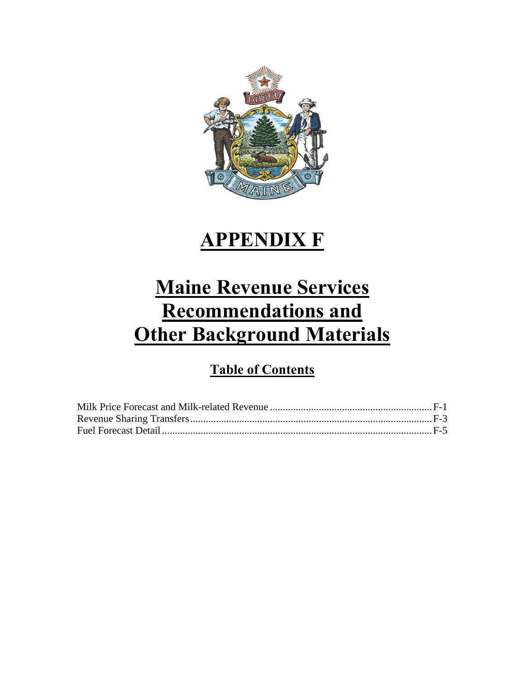

## **APPENDIX F**

# **Maine Revenue Services Recommendations and Other Background Materials**

## **Table of Contents**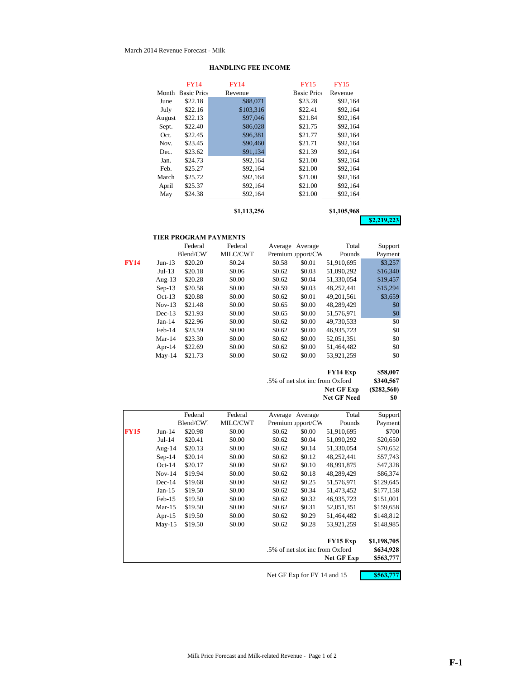#### March 2014 Revenue Forecast - Milk

|        | FY14               | <b>FY14</b> | <b>FY15</b>        | <b>FY15</b> |             |
|--------|--------------------|-------------|--------------------|-------------|-------------|
| Month  | <b>Basic Price</b> | Revenue     | <b>Basic Price</b> | Revenue     |             |
| June   | \$22.18            | \$88,071    | \$23.28            | \$92,164    |             |
| July   | \$22.16            | \$103,316   | \$22.41            | \$92,164    |             |
| August | \$22.13            | \$97,046    | \$21.84            | \$92,164    |             |
| Sept.  | \$22.40            | \$86,028    | \$21.75            | \$92,164    |             |
| Oct.   | \$22.45            | \$96,381    | \$21.77            | \$92,164    |             |
| Nov.   | \$23.45            | \$90,460    | \$21.71            | \$92,164    |             |
| Dec.   | \$23.62            | \$91,134    | \$21.39            | \$92.164    |             |
| Jan.   | \$24.73            | \$92,164    | \$21.00            | \$92.164    |             |
| Feb.   | \$25.27            | \$92,164    | \$21.00            | \$92,164    |             |
| March  | \$25.72            | \$92,164    | \$21.00            | \$92,164    |             |
| April  | \$25.37            | \$92,164    | \$21.00            | \$92,164    |             |
| May    | \$24.38            | \$92,164    | \$21.00            | \$92,164    |             |
|        |                    |             |                    |             |             |
|        |                    | \$1,113,256 |                    | \$1,105,968 |             |
|        |                    |             |                    |             | \$2,219,223 |

#### **HANDLING FEE INCOME**

#### **TIER PROGRAM PAYMENTS**

|      |           | Federal   | Federal  |        | Average Average   | Total        | Support  |
|------|-----------|-----------|----------|--------|-------------------|--------------|----------|
|      |           | Blend/CW. | MILC/CWT |        | Premium apport/CW | Pounds       | Payment  |
| FY14 | $Jun-13$  | \$20.20   | \$0.24   | \$0.58 | \$0.01            | 51,910,695   | \$3,257  |
|      | $Jul-13$  | \$20.18   | \$0.06   | \$0.62 | \$0.03            | 51.090.292   | \$16,340 |
|      | Aug- $13$ | \$20.28   | \$0.00   | \$0.62 | \$0.04            | 51.330.054   | \$19,457 |
|      | $Sep-13$  | \$20.58   | \$0.00   | \$0.59 | \$0.03            | 48,252,441   | \$15,294 |
|      | $Oct-13$  | \$20.88   | \$0.00   | \$0.62 | \$0.01            | 49, 201, 561 | \$3,659  |
|      | $Nov-13$  | \$21.48   | \$0.00   | \$0.65 | \$0.00            | 48.289.429   | \$0      |
|      | $Dec-13$  | \$21.93   | \$0.00   | \$0.65 | \$0.00            | 51.576.971   | \$0      |
|      | $Jan-14$  | \$22.96   | \$0.00   | \$0.62 | \$0.00            | 49.730.533   | \$0      |
|      | $Feb-14$  | \$23.59   | \$0.00   | \$0.62 | \$0.00            | 46,935,723   | \$0      |
|      | $Mar-14$  | \$23.30   | \$0.00   | \$0.62 | \$0.00            | 52.051.351   | \$0      |
|      | Apr-14    | \$22.69   | \$0.00   | \$0.62 | \$0.00            | 51,464,482   | \$0      |
|      | $May-14$  | \$21.73   | \$0.00   | \$0.62 | \$0.00            | 53,921,259   | \$0      |
|      |           |           |          |        |                   |              |          |

#### **FY14 Exp \$58,007**

.5% of net slot inc from Oxford **\$340,567 Net GF Exp** (\$282,560)<br>**Net GF Need** \$0 Net GF Need

|             |           | Federal   | Federal  | Average | Average                         | Total      | Support     |
|-------------|-----------|-----------|----------|---------|---------------------------------|------------|-------------|
|             |           | Blend/CW. | MILC/CWT |         | Premium upport/CW               | Pounds     | Payment     |
| <b>FY15</b> | $Jun-14$  | \$20.98   | \$0.00   | \$0.62  | \$0.00                          | 51,910,695 | \$700       |
|             | Jul-14    | \$20.41   | \$0.00   | \$0.62  | \$0.04                          | 51,090,292 | \$20,650    |
|             | Aug-14    | \$20.13   | \$0.00   | \$0.62  | \$0.14                          | 51,330,054 | \$70,652    |
|             | $Sep-14$  | \$20.14   | \$0.00   | \$0.62  | \$0.12                          | 48,252,441 | \$57,743    |
|             | $Oct-14$  | \$20.17   | \$0.00   | \$0.62  | \$0.10                          | 48,991,875 | \$47,328    |
|             | $Nov-14$  | \$19.94   | \$0.00   | \$0.62  | \$0.18                          | 48,289,429 | \$86,374    |
|             | $Dec-14$  | \$19.68   | \$0.00   | \$0.62  | \$0.25                          | 51,576,971 | \$129,645   |
|             | $Jan-15$  | \$19.50   | \$0.00   | \$0.62  | \$0.34                          | 51,473,452 | \$177,158   |
|             | $Feb-15$  | \$19.50   | \$0.00   | \$0.62  | \$0.32                          | 46,935,723 | \$151,001   |
|             | $Mar-15$  | \$19.50   | \$0.00   | \$0.62  | \$0.31                          | 52,051,351 | \$159,658   |
|             | Apr- $15$ | \$19.50   | \$0.00   | \$0.62  | \$0.29                          | 51,464,482 | \$148,812   |
|             | $May-15$  | \$19.50   | \$0.00   | \$0.62  | \$0.28                          | 53,921,259 | \$148,985   |
|             |           |           |          |         |                                 | FY15 Exp   | \$1,198,705 |
|             |           |           |          |         | .5% of net slot inc from Oxford |            | \$634,928   |
|             |           |           |          |         |                                 | Net GF Exp | \$563,777   |

Net GF Exp for FY 14 and 15 **\$563,777**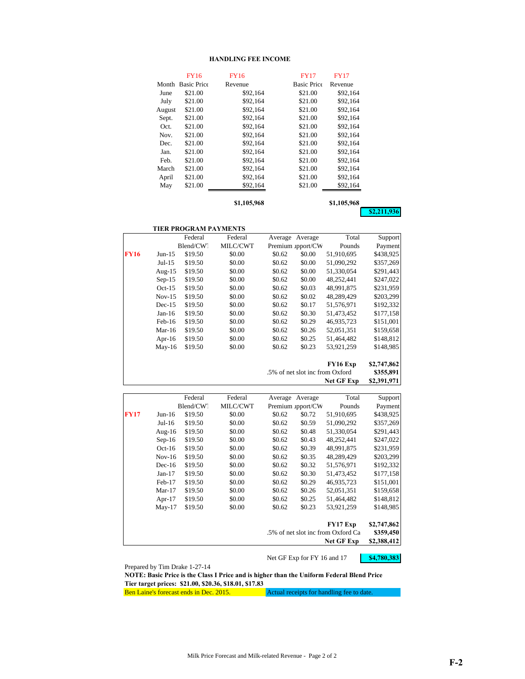#### **HANDLING FEE INCOME**

|        | <b>FY16</b>        | <b>FY16</b> | <b>FY17</b>        | <b>FY17</b> |  |
|--------|--------------------|-------------|--------------------|-------------|--|
| Month  | <b>Basic Price</b> | Revenue     | <b>Basic Price</b> | Revenue     |  |
| June   | \$21.00            | \$92,164    | \$21.00            | \$92,164    |  |
| July   | \$21.00            | \$92,164    | \$21.00            | \$92,164    |  |
| August | \$21.00            | \$92,164    | \$21.00            | \$92,164    |  |
| Sept.  | \$21.00            | \$92,164    | \$21.00            | \$92,164    |  |
| Oct.   | \$21.00            | \$92,164    | \$21.00            | \$92,164    |  |
| Nov.   | \$21.00            | \$92.164    | \$21.00            | \$92.164    |  |
| Dec.   | \$21.00            | \$92,164    | \$21.00            | \$92,164    |  |
| Jan.   | \$21.00            | \$92,164    | \$21.00            | \$92,164    |  |
| Feb.   | \$21.00            | \$92.164    | \$21.00            | \$92.164    |  |
| March  | \$21.00            | \$92,164    | \$21.00            | \$92,164    |  |
| April  | \$21.00            | \$92,164    | \$21.00            | \$92,164    |  |
| May    | \$21.00            | \$92,164    | \$21.00            | \$92,164    |  |
|        |                    |             |                    |             |  |
|        |                    | \$1,105,968 |                    | \$1,105,968 |  |

**\$2,211,936**

|             |           | <b>TIER PROGRAM PAYMENTS</b> |          |        |                                 |                   |             |
|-------------|-----------|------------------------------|----------|--------|---------------------------------|-------------------|-------------|
|             |           | Federal                      | Federal  |        | Average Average                 | Total             | Support     |
|             |           | Blend/CW.                    | MILC/CWT |        | Premium apport/CW               | Pounds            | Payment     |
| <b>FY16</b> | $Jun-15$  | \$19.50                      | \$0.00   | \$0.62 | \$0.00                          | 51,910,695        | \$438,925   |
|             | Jul-15    | \$19.50                      | \$0.00   | \$0.62 | \$0.00                          | 51,090,292        | \$357,269   |
|             | Aug- $15$ | \$19.50                      | \$0.00   | \$0.62 | \$0.00                          | 51,330,054        | \$291,443   |
|             | $Sep-15$  | \$19.50                      | \$0.00   | \$0.62 | \$0.00                          | 48,252,441        | \$247,022   |
|             | $Oct-15$  | \$19.50                      | \$0.00   | \$0.62 | \$0.03                          | 48,991,875        | \$231,959   |
|             | $Nov-15$  | \$19.50                      | \$0.00   | \$0.62 | \$0.02                          | 48,289,429        | \$203,299   |
|             | $Dec-15$  | \$19.50                      | \$0.00   | \$0.62 | \$0.17                          | 51,576,971        | \$192,332   |
|             | $Jan-16$  | \$19.50                      | \$0.00   | \$0.62 | \$0.30                          | 51,473,452        | \$177,158   |
|             | $Feb-16$  | \$19.50                      | \$0.00   | \$0.62 | \$0.29                          | 46,935,723        | \$151,001   |
|             | Mar-16    | \$19.50                      | \$0.00   | \$0.62 | \$0.26                          | 52,051,351        | \$159,658   |
|             | Apr-16    | \$19.50                      | \$0.00   | \$0.62 | \$0.25                          | 51,464,482        | \$148,812   |
|             | $May-16$  | \$19.50                      | \$0.00   | \$0.62 | \$0.23                          | 53,921,259        | \$148,985   |
|             |           |                              |          |        |                                 | FY16 Exp          | \$2,747,862 |
|             |           |                              |          |        | .5% of net slot inc from Oxford |                   | \$355,891   |
|             |           |                              |          |        |                                 | <b>Net GF Exp</b> | \$2,391,971 |

|             |           | Federal   | Federal  |        | Average Average   | Total                              | Support     |
|-------------|-----------|-----------|----------|--------|-------------------|------------------------------------|-------------|
|             |           | Blend/CW. | MILC/CWT |        | Premium upport/CW | Pounds                             | Payment     |
| <b>FY17</b> | Jun-16    | \$19.50   | \$0.00   | \$0.62 | \$0.72            | 51,910,695                         | \$438,925   |
|             | Jul-16    | \$19.50   | \$0.00   | \$0.62 | \$0.59            | 51,090,292                         | \$357,269   |
|             | Aug- $16$ | \$19.50   | \$0.00   | \$0.62 | \$0.48            | 51,330,054                         | \$291,443   |
|             | $Sep-16$  | \$19.50   | \$0.00   | \$0.62 | \$0.43            | 48,252,441                         | \$247,022   |
|             | $Oct-16$  | \$19.50   | \$0.00   | \$0.62 | \$0.39            | 48.991.875                         | \$231,959   |
|             | $Nov-16$  | \$19.50   | \$0.00   | \$0.62 | \$0.35            | 48,289,429                         | \$203,299   |
|             | $Dec-16$  | \$19.50   | \$0.00   | \$0.62 | \$0.32            | 51,576,971                         | \$192,332   |
|             | $Jan-17$  | \$19.50   | \$0.00   | \$0.62 | \$0.30            | 51,473,452                         | \$177,158   |
|             | $Feb-17$  | \$19.50   | \$0.00   | \$0.62 | \$0.29            | 46.935.723                         | \$151,001   |
|             | $Mar-17$  | \$19.50   | \$0.00   | \$0.62 | \$0.26            | 52,051,351                         | \$159,658   |
|             | Apr- $17$ | \$19.50   | \$0.00   | \$0.62 | \$0.25            | 51,464,482                         | \$148,812   |
|             | $May-17$  | \$19.50   | \$0.00   | \$0.62 | \$0.23            | 53,921,259                         | \$148,985   |
|             |           |           |          |        |                   | <b>FY17 Exp</b>                    | \$2,747,862 |
|             |           |           |          |        |                   | .5% of net slot inc from Oxford Ca | \$359,450   |
|             |           |           |          |        |                   | Net GF Exp                         | \$2,388,412 |

Net GF Exp for FY 16 and 17 **\$4,780,383** 

Prepared by Tim Drake 1-27-14

**NOTE: Basic Price is the Class I Price and is higher than the Uniform Federal Blend Price Tier target prices: \$21.00, \$20.36, \$18.01, \$17.83**

Ben Laine's forecast ends in Dec. 2015. Actual receipts for handling fee to date.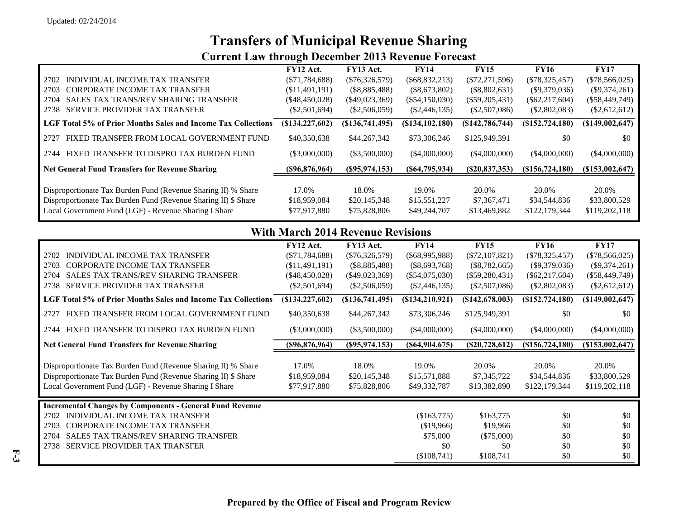## **Transfers of Municipal Revenue Sharing**

## **Current Law through December 2013 Revenue Forecast**

|                                                                | FY12 Act.        | FY13 Act.        | <b>FY14</b>      | <b>FY15</b>      | <b>FY16</b>      | <b>FY17</b>        |
|----------------------------------------------------------------|------------------|------------------|------------------|------------------|------------------|--------------------|
| INDIVIDUAL INCOME TAX TRANSFER<br>2702                         | $(\$71,784,688)$ | $(\$76,326,579)$ | $(\$68,832,213)$ | $(\$72,271,596)$ | $(\$78,325,457)$ | $(\$78,566,025)$   |
| CORPORATE INCOME TAX TRANSFER<br>2703                          | (\$11,491,191)   | (S8, 885, 488)   | $(\$8,673,802)$  | $(\$8,802,631)$  | $(\$9,379,036)$  | $(\$9,374,261)$    |
| <b>SALES TAX TRANS/REV SHARING TRANSFER</b><br>2704            | (\$48,450,028)   | $(\$49,023,369)$ | $(\$54,150,030)$ | $(\$59,205,431)$ | $(\$62,217,604)$ | $(\$58,449,749)$   |
| SERVICE PROVIDER TAX TRANSFER<br>2738                          | $(\$2,501,694)$  | $(\$2,506,059)$  | $(\$2,446,135)$  | $(\$2,507,086)$  | $(\$2,802,083)$  | $(\$2,612,612)$    |
| LGF Total 5% of Prior Months Sales and Income Tax Collections  | (S134, 227, 602) | (S136,741,495)   | (S134, 102, 180) | (S142, 786, 744) | (S152, 724, 180) | (\$149,002,647)    |
| FIXED TRANSFER FROM LOCAL GOVERNMENT FUND<br>2.72.7            | \$40,350,638     | \$44,267,342     | \$73,306,246     | \$125,949,391    | \$0              | \$0                |
| FIXED TRANSFER TO DISPRO TAX BURDEN FUND<br>2744               | $(\$3,000,000)$  | $(\$3,500,000)$  | (\$4,000,000)    | (\$4,000,000)    | $($ \$4,000,000) | (\$4,000,000)      |
| <b>Net General Fund Transfers for Revenue Sharing</b>          | (\$96,876,964)   | (S95, 974, 153)  | (S64,795,934)    | (S20, 837, 353)  | (S156, 724, 180) | $($ \$153,002,647) |
|                                                                |                  |                  |                  |                  |                  |                    |
| Disproportionate Tax Burden Fund (Revenue Sharing II) % Share  | 17.0%            | 18.0%            | 19.0%            | 20.0%            | 20.0%            | 20.0%              |
| Disproportionate Tax Burden Fund (Revenue Sharing II) \$ Share | \$18,959,084     | \$20,145,348     | \$15,551,227     | \$7,367,471      | \$34,544,836     | \$33,800,529       |
| Local Government Fund (LGF) - Revenue Sharing I Share          | \$77,917,880     | \$75,828,806     | \$49,244,707     | \$13,469,882     | \$122,179,344    | \$119,202,118      |
|                                                                |                  |                  |                  |                  |                  |                    |

## **With March 2014 Revenue Revisions**

|                                                                 | FY12 Act.           | FY13 Act.         | <b>FY14</b>       | <b>FY15</b>      | <b>FY16</b>       | <b>FY17</b>      |
|-----------------------------------------------------------------|---------------------|-------------------|-------------------|------------------|-------------------|------------------|
| INDIVIDUAL INCOME TAX TRANSFER<br>2702                          | $(\$71,784,688)$    | $(\$76,326,579)$  | $(\$68,995,988)$  | $(\$72,107,821)$ | $(\$78,325,457)$  | $(\$78,566,025)$ |
| <b>CORPORATE INCOME TAX TRANSFER</b><br>2703                    | (\$11,491,191)      | $(\$8,885,488)$   | $(\$8,693,768)$   | $(\$8,782,665)$  | $(\$9,379,036)$   | $(\$9,374,261)$  |
| <b>SALES TAX TRANS/REV SHARING TRANSFER</b><br>2704             | $(\$48,450,028)$    | $(\$49,023,369)$  | $(\$54,075,030)$  | $(\$59,280,431)$ | $(\$62,217,604)$  | $(\$58,449,749)$ |
| <b>SERVICE PROVIDER TAX TRANSFER</b><br>2738                    | $(\$2,501,694)$     | $(\$2,506,059)$   | $(\$2,446,135)$   | $(\$2,507,086)$  | (\$2,802,083)     | $(\$2,612,612)$  |
| LGF Total 5% of Prior Months Sales and Income Tax Collections   | $(\$134, 227, 602)$ | $(\$136,741,495)$ | (S134, 210, 921)  | (S142, 678, 003) | $(\$152,724,180)$ | (S149,002,647)   |
| FIXED TRANSFER FROM LOCAL GOVERNMENT FUND<br>2727               | \$40,350,638        | \$44,267,342      | \$73,306,246      | \$125,949,391    | \$0               | \$0              |
| FIXED TRANSFER TO DISPRO TAX BURDEN FUND<br>2744                | $(\$3,000,000)$     | $(\$3,500,000)$   | $(\$4,000,000)$   | $(\$4,000,000)$  | $(\$4,000,000)$   | $(\$4,000,000)$  |
| <b>Net General Fund Transfers for Revenue Sharing</b>           | (\$96,876,964)      | $($ \$95,974,153) | $($ \$64,904,675) | (S20, 728, 612)  | $(\$156,724,180)$ | (S153,002,647)   |
|                                                                 |                     |                   |                   |                  |                   |                  |
| Disproportionate Tax Burden Fund (Revenue Sharing II) % Share   | 17.0%               | 18.0%             | 19.0%             | 20.0%            | 20.0%             | 20.0%            |
| Disproportionate Tax Burden Fund (Revenue Sharing II) \$ Share  | \$18,959,084        | \$20,145,348      | \$15,571,888      | \$7,345,722      | \$34,544,836      | \$33,800,529     |
| Local Government Fund (LGF) - Revenue Sharing I Share           | \$77,917,880        | \$75,828,806      | \$49,332,787      | \$13,382,890     | \$122,179,344     | \$119,202,118    |
| <b>Incremental Changes by Components - General Fund Revenue</b> |                     |                   |                   |                  |                   |                  |
| <b>INDIVIDUAL INCOME TAX TRANSFER</b><br>2702                   |                     |                   | (\$163,775)       | \$163,775        | \$0               | \$0              |
| <b>CORPORATE INCOME TAX TRANSFER</b><br>2703                    |                     |                   | \$19,966          | \$19,966         | \$0               | \$0              |
| <b>SALES TAX TRANS/REV SHARING TRANSFER</b><br>2704             |                     |                   | \$75,000          | $(\$75,000)$     | \$0               | \$0              |
| <b>SERVICE PROVIDER TAX TRANSFER</b><br>2738                    |                     |                   | \$0               | \$0              | \$0               | \$0              |
|                                                                 |                     |                   | (\$108,741)       | \$108,741        | \$0               | \$0              |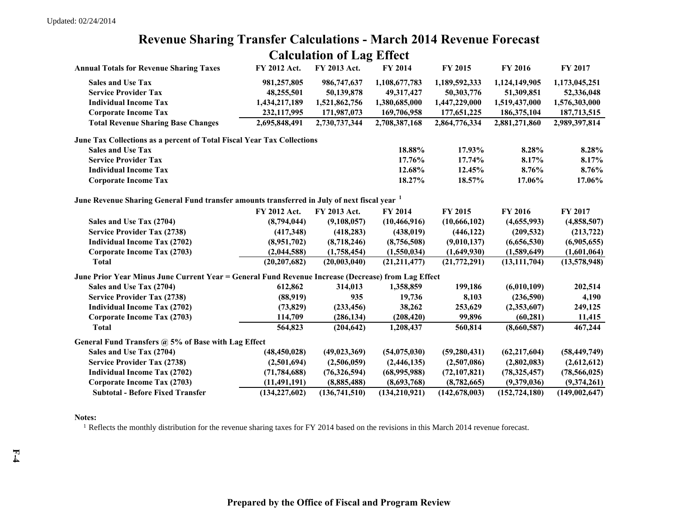## **Revenue Sharing Transfer Calculations - March 2014 Revenue Forecast Calculation of Lag Effect**

| <b>Annual Totals for Revenue Sharing Taxes</b>                                                     | FY 2012 Act.    | FY 2013 Act.   | <b>FY 2014</b> | <b>FY 2015</b>  | <b>FY 2016</b>  | <b>FY 2017</b> |
|----------------------------------------------------------------------------------------------------|-----------------|----------------|----------------|-----------------|-----------------|----------------|
| <b>Sales and Use Tax</b>                                                                           | 981,257,805     | 986,747,637    | 1,108,677,783  | 1,189,592,333   | 1,124,149,905   | 1,173,045,251  |
| <b>Service Provider Tax</b>                                                                        | 48,255,501      | 50,139,878     | 49,317,427     | 50,303,776      | 51,309,851      | 52,336,048     |
| <b>Individual Income Tax</b>                                                                       | 1,434,217,189   | 1,521,862,756  | 1,380,685,000  | 1,447,229,000   | 1,519,437,000   | 1,576,303,000  |
| <b>Corporate Income Tax</b>                                                                        | 232,117,995     | 171,987,073    | 169,706,958    | 177,651,225     | 186,375,104     | 187,713,515    |
| <b>Total Revenue Sharing Base Changes</b>                                                          | 2,695,848,491   | 2,730,737,344  | 2,708,387,168  | 2,864,776,334   | 2,881,271,860   | 2,989,397,814  |
| June Tax Collections as a percent of Total Fiscal Year Tax Collections                             |                 |                |                |                 |                 |                |
| <b>Sales and Use Tax</b>                                                                           |                 |                | 18.88%         | 17.93%          | 8.28%           | 8.28%          |
| <b>Service Provider Tax</b>                                                                        |                 |                | 17.76%         | 17.74%          | 8.17%           | 8.17%          |
| <b>Individual Income Tax</b>                                                                       |                 |                | 12.68%         | 12.45%          | 8.76%           | 8.76%          |
| <b>Corporate Income Tax</b>                                                                        |                 |                | 18.27%         | 18.57%          | 17.06%          | 17.06%         |
| June Revenue Sharing General Fund transfer amounts transferred in July of next fiscal year 1       |                 |                |                |                 |                 |                |
|                                                                                                    | FY 2012 Act.    | FY 2013 Act.   | <b>FY 2014</b> | FY 2015         | <b>FY 2016</b>  | FY 2017        |
| Sales and Use Tax (2704)                                                                           | (8,794,044)     | (9,108,057)    | (10, 466, 916) | (10, 666, 102)  | (4,655,993)     | (4,858,507)    |
| <b>Service Provider Tax (2738)</b>                                                                 | (417,348)       | (418, 283)     | (438, 019)     | (446, 122)      | (209, 532)      | (213, 722)     |
| <b>Individual Income Tax (2702)</b>                                                                | (8,951,702)     | (8,718,246)    | (8,756,508)    | (9,010,137)     | (6,656,530)     | (6,905,655)    |
| Corporate Income Tax (2703)                                                                        | (2,044,588)     | (1,758,454)    | (1,550,034)    | (1,649,930)     | (1,589,649)     | (1,601,064)    |
| <b>Total</b>                                                                                       | (20, 207, 682)  | (20,003,040)   | (21, 211, 477) | (21, 772, 291)  | (13, 111, 704)  | (13,578,948)   |
| June Prior Year Minus June Current Year = General Fund Revenue Increase (Decrease) from Lag Effect |                 |                |                |                 |                 |                |
| Sales and Use Tax (2704)                                                                           | 612,862         | 314,013        | 1,358,859      | 199,186         | (6,010,109)     | 202,514        |
| <b>Service Provider Tax (2738)</b>                                                                 | (88,919)        | 935            | 19,736         | 8,103           | (236,590)       | 4,190          |
| <b>Individual Income Tax (2702)</b>                                                                | (73, 829)       | (233, 456)     | 38,262         | 253,629         | (2,353,607)     | 249,125        |
| Corporate Income Tax (2703)                                                                        | 114,709         | (286, 134)     | (208, 420)     | 99,896          | (60, 281)       | 11,415         |
| <b>Total</b>                                                                                       | 564,823         | (204, 642)     | 1,208,437      | 560,814         | (8,660,587)     | 467,244        |
| General Fund Transfers @ 5% of Base with Lag Effect                                                |                 |                |                |                 |                 |                |
| Sales and Use Tax (2704)                                                                           | (48, 450, 028)  | (49, 023, 369) | (54,075,030)   | (59, 280, 431)  | (62, 217, 604)  | (58, 449, 749) |
| <b>Service Provider Tax (2738)</b>                                                                 | (2,501,694)     | (2,506,059)    | (2,446,135)    | (2,507,086)     | (2,802,083)     | (2,612,612)    |
| <b>Individual Income Tax (2702)</b>                                                                | (71, 784, 688)  | (76,326,594)   | (68,995,988)   | (72, 107, 821)  | (78, 325, 457)  | (78, 566, 025) |
| Corporate Income Tax (2703)                                                                        | (11, 491, 191)  | (8,885,488)    | (8,693,768)    | (8,782,665)     | (9,379,036)     | (9,374,261)    |
| <b>Subtotal - Before Fixed Transfer</b>                                                            | (134, 227, 602) | (136,741,510)  | (134,210,921)  | (142, 678, 003) | (152, 724, 180) | (149,002,647)  |

#### **Notes:**

<sup>1</sup> Reflects the monthly distribution for the revenue sharing taxes for FY 2014 based on the revisions in this March 2014 revenue forecast.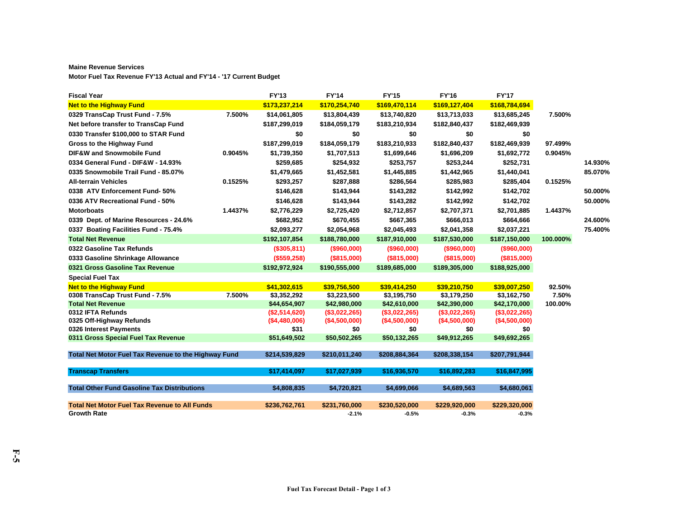#### **Maine Revenue Services**

**Motor Fuel Tax Revenue FY'13 Actual and FY'14 - '17 Current Budget**

| <b>Fiscal Year</b>                                   |         | <b>FY'13</b>  | <b>FY'14</b>  | <b>FY'15</b>  | <b>FY'16</b>  | <b>FY'17</b>  |          |         |
|------------------------------------------------------|---------|---------------|---------------|---------------|---------------|---------------|----------|---------|
| <b>Net to the Highway Fund</b>                       |         | \$173,237,214 | \$170,254,740 | \$169,470,114 | \$169,127,404 | \$168,784,694 |          |         |
| 0329 TransCap Trust Fund - 7.5%                      | 7.500%  | \$14,061,805  | \$13,804,439  | \$13,740,820  | \$13,713,033  | \$13,685,245  | 7.500%   |         |
| Net before transfer to TransCap Fund                 |         | \$187,299,019 | \$184,059,179 | \$183,210,934 | \$182,840,437 | \$182,469,939 |          |         |
| 0330 Transfer \$100,000 to STAR Fund                 |         | \$0           | \$0           | \$0           | \$0           | \$0           |          |         |
| Gross to the Highway Fund                            |         | \$187,299,019 | \$184,059,179 | \$183,210,933 | \$182,840,437 | \$182,469,939 | 97.499%  |         |
| DIF&W and Snowmobile Fund                            | 0.9045% | \$1,739,350   | \$1,707,513   | \$1,699,646   | \$1,696,209   | \$1,692,772   | 0.9045%  |         |
| 0334 General Fund - DIF&W - 14.93%                   |         | \$259,685     | \$254,932     | \$253,757     | \$253,244     | \$252,731     |          | 14.930% |
| 0335 Snowmobile Trail Fund - 85.07%                  |         | \$1,479,665   | \$1,452,581   | \$1,445,885   | \$1,442,965   | \$1,440,041   |          | 85.070% |
| <b>All-terrain Vehicles</b>                          | 0.1525% | \$293,257     | \$287,888     | \$286,564     | \$285,983     | \$285,404     | 0.1525%  |         |
| 0338 ATV Enforcement Fund- 50%                       |         | \$146,628     | \$143,944     | \$143,282     | \$142,992     | \$142,702     |          | 50.000% |
| 0336 ATV Recreational Fund - 50%                     |         | \$146,628     | \$143,944     | \$143,282     | \$142,992     | \$142,702     |          | 50.000% |
| <b>Motorboats</b>                                    | 1.4437% | \$2,776,229   | \$2,725,420   | \$2,712,857   | \$2,707,371   | \$2,701,885   | 1.4437%  |         |
| 0339 Dept. of Marine Resources - 24.6%               |         | \$682,952     | \$670,455     | \$667,365     | \$666,013     | \$664,666     |          | 24.600% |
| 0337 Boating Facilities Fund - 75.4%                 |         | \$2,093,277   | \$2,054,968   | \$2,045,493   | \$2,041,358   | \$2,037,221   |          | 75.400% |
| <b>Total Net Revenue</b>                             |         | \$192,107,854 | \$188,780,000 | \$187,910,000 | \$187,530,000 | \$187,150,000 | 100.000% |         |
| 0322 Gasoline Tax Refunds                            |         | (\$305,811)   | (\$960,000)   | (\$960,000)   | (\$960,000)   | (\$960,000)   |          |         |
| 0333 Gasoline Shrinkage Allowance                    |         | (\$559,258)   | (\$815,000)   | (\$815,000)   | (\$815,000)   | (\$815,000)   |          |         |
| 0321 Gross Gasoline Tax Revenue                      |         | \$192,972,924 | \$190,555,000 | \$189,685,000 | \$189,305,000 | \$188,925,000 |          |         |
| <b>Special Fuel Tax</b>                              |         |               |               |               |               |               |          |         |
| <b>Net to the Highway Fund</b>                       |         | \$41,302,615  | \$39,756,500  | \$39,414,250  | \$39,210,750  | \$39,007,250  | 92.50%   |         |
| 0308 TransCap Trust Fund - 7.5%                      | 7.500%  | \$3,352,292   | \$3,223,500   | \$3,195,750   | \$3,179,250   | \$3,162,750   | 7.50%    |         |
| <b>Total Net Revenue</b>                             |         | \$44,654,907  | \$42,980,000  | \$42,610,000  | \$42,390,000  | \$42,170,000  | 100.00%  |         |
| 0312 IFTA Refunds                                    |         | (\$2,514,620) | (\$3,022,265) | (\$3,022,265) | (\$3,022,265) | (\$3,022,265) |          |         |
| 0325 Off-Highway Refunds                             |         | (\$4,480,006) | (\$4,500,000) | (\$4,500,000) | (\$4,500,000) | (\$4,500,000) |          |         |
| 0326 Interest Payments                               |         | \$31          | \$0           | \$0           | \$0           | \$0           |          |         |
| 0311 Gross Special Fuel Tax Revenue                  |         | \$51,649,502  | \$50,502,265  | \$50,132,265  | \$49,912,265  | \$49,692,265  |          |         |
| Total Net Motor Fuel Tax Revenue to the Highway Fund |         | \$214,539,829 | \$210,011,240 | \$208,884,364 | \$208,338,154 | \$207,791,944 |          |         |
| <b>Transcap Transfers</b>                            |         | \$17,414,097  | \$17,027,939  | \$16,936,570  | \$16,892,283  | \$16,847,995  |          |         |
| <b>Total Other Fund Gasoline Tax Distributions</b>   |         | \$4,808,835   | \$4,720,821   | \$4,699,066   | \$4,689,563   | \$4,680,061   |          |         |
| <b>Total Net Motor Fuel Tax Revenue to All Funds</b> |         | \$236,762,761 | \$231,760,000 | \$230,520,000 | \$229,920,000 | \$229,320,000 |          |         |
| <b>Growth Rate</b>                                   |         |               | $-2.1%$       | $-0.5%$       | $-0.3%$       | $-0.3%$       |          |         |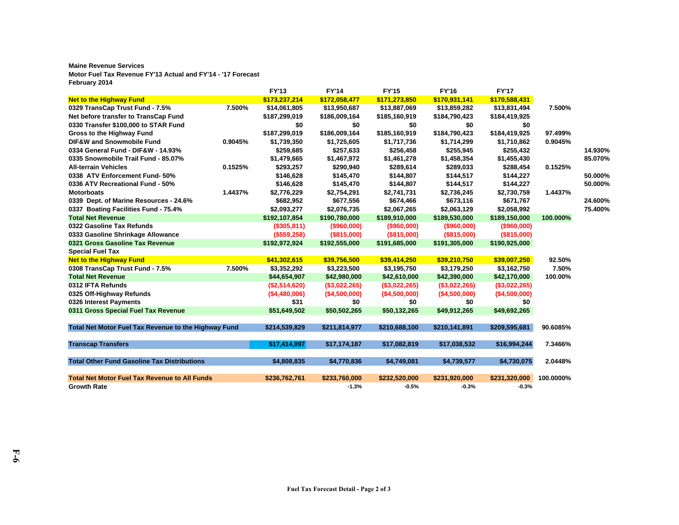#### **Maine Revenue Services Motor Fuel Tax Revenue FY'13 Actual and FY'14 - '17 Forecast February 2014**

|                                                      |         | <b>FY'13</b>  | <b>FY'14</b>   | <b>FY'15</b>   | <b>FY'16</b>   | <b>FY'17</b>   |           |         |
|------------------------------------------------------|---------|---------------|----------------|----------------|----------------|----------------|-----------|---------|
| <b>Net to the Highway Fund</b>                       |         | \$173,237,214 | \$172,058,477  | \$171,273,850  | \$170,931,141  | \$170,588,431  |           |         |
| 0329 TransCap Trust Fund - 7.5%                      | 7.500%  | \$14,061,805  | \$13,950,687   | \$13,887,069   | \$13,859,282   | \$13,831,494   | 7.500%    |         |
| Net before transfer to TransCap Fund                 |         | \$187,299,019 | \$186,009,164  | \$185,160,919  | \$184,790,423  | \$184,419,925  |           |         |
| 0330 Transfer \$100,000 to STAR Fund                 |         | \$0           | \$0            | \$0            | \$0            | \$0            |           |         |
| Gross to the Highway Fund                            |         | \$187,299,019 | \$186,009,164  | \$185,160,919  | \$184,790,423  | \$184,419,925  | 97.499%   |         |
| DIF&W and Snowmobile Fund                            | 0.9045% | \$1,739,350   | \$1,725,605    | \$1,717,736    | \$1,714,299    | \$1,710,862    | 0.9045%   |         |
| 0334 General Fund - DIF&W - 14.93%                   |         | \$259,685     | \$257,633      | \$256,458      | \$255,945      | \$255,432      |           | 14.930% |
| 0335 Snowmobile Trail Fund - 85.07%                  |         | \$1,479,665   | \$1,467,972    | \$1,461,278    | \$1,458,354    | \$1,455,430    |           | 85.070% |
| <b>All-terrain Vehicles</b>                          | 0.1525% | \$293,257     | \$290,940      | \$289,614      | \$289,033      | \$288,454      | 0.1525%   |         |
| 0338 ATV Enforcement Fund- 50%                       |         | \$146,628     | \$145,470      | \$144,807      | \$144,517      | \$144,227      |           | 50.000% |
| 0336 ATV Recreational Fund - 50%                     |         | \$146,628     | \$145,470      | \$144,807      | \$144,517      | \$144,227      |           | 50.000% |
| <b>Motorboats</b>                                    | 1.4437% | \$2,776,229   | \$2,754,291    | \$2,741,731    | \$2,736,245    | \$2,730,759    | 1.4437%   |         |
| 0339 Dept. of Marine Resources - 24.6%               |         | \$682,952     | \$677,556      | \$674,466      | \$673,116      | \$671,767      |           | 24.600% |
| 0337 Boating Facilities Fund - 75.4%                 |         | \$2,093,277   | \$2,076,735    | \$2,067,265    | \$2,063,129    | \$2,058,992    |           | 75.400% |
| <b>Total Net Revenue</b>                             |         | \$192,107,854 | \$190,780,000  | \$189,910,000  | \$189,530,000  | \$189,150,000  | 100.000%  |         |
| 0322 Gasoline Tax Refunds                            |         | (\$305,811)   | $($ \$960,000) | $($ \$960,000) | $($ \$960,000) | $($ \$960,000) |           |         |
| 0333 Gasoline Shrinkage Allowance                    |         | (\$559,258)   | (\$815,000)    | (\$815,000)    | (\$815,000)    | (\$815,000)    |           |         |
| 0321 Gross Gasoline Tax Revenue                      |         | \$192,972,924 | \$192,555,000  | \$191,685,000  | \$191,305,000  | \$190,925,000  |           |         |
| <b>Special Fuel Tax</b>                              |         |               |                |                |                |                |           |         |
| <b>Net to the Highway Fund</b>                       |         | \$41,302,615  | \$39,756,500   | \$39,414,250   | \$39,210,750   | \$39,007,250   | 92.50%    |         |
| 0308 TransCap Trust Fund - 7.5%                      | 7.500%  | \$3,352,292   | \$3,223,500    | \$3,195,750    | \$3,179,250    | \$3,162,750    | 7.50%     |         |
| <b>Total Net Revenue</b>                             |         | \$44,654,907  | \$42,980,000   | \$42,610,000   | \$42,390,000   | \$42,170,000   | 100.00%   |         |
| 0312 IFTA Refunds                                    |         | (\$2,514,620) | (\$3,022,265)  | (\$3,022,265)  | (\$3,022,265)  | (\$3,022,265)  |           |         |
| 0325 Off-Highway Refunds                             |         | (\$4,480,006) | (\$4,500,000)  | (\$4,500,000)  | (\$4,500,000)  | (\$4,500,000)  |           |         |
| 0326 Interest Payments                               |         | \$31          | \$0            | \$0            | \$0            | \$0            |           |         |
| 0311 Gross Special Fuel Tax Revenue                  |         | \$51,649,502  | \$50,502,265   | \$50,132,265   | \$49,912,265   | \$49,692,265   |           |         |
| Total Net Motor Fuel Tax Revenue to the Highway Fund |         | \$214,539,829 | \$211,814,977  | \$210,688,100  | \$210,141,891  | \$209,595,681  | 90.6085%  |         |
|                                                      |         |               |                |                |                |                |           |         |
| <b>Transcap Transfers</b>                            |         | \$17,414,097  | \$17,174,187   | \$17,082,819   | \$17,038,532   | \$16,994,244   | 7.3466%   |         |
| <b>Total Other Fund Gasoline Tax Distributions</b>   |         | \$4,808,835   | \$4,770,836    | \$4,749,081    | \$4,739,577    | \$4,730,075    | 2.0448%   |         |
| <b>Total Net Motor Fuel Tax Revenue to All Funds</b> |         | \$236,762,761 | \$233,760,000  | \$232,520,000  | \$231,920,000  | \$231,320,000  | 100.0000% |         |
| <b>Growth Rate</b>                                   |         |               | $-1.3%$        | $-0.5%$        | $-0.3%$        | $-0.3%$        |           |         |